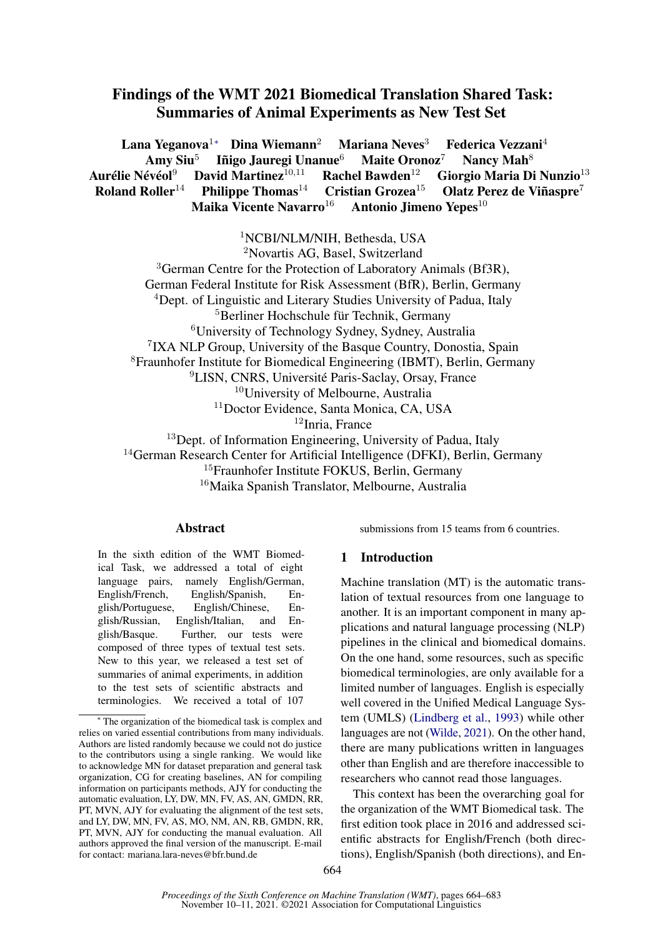# Findings of the WMT 2021 Biomedical Translation Shared Task: Summaries of Animal Experiments as New Test Set

Lana Yeganova<sup>1</sup>\* Dina Wiemann<sup>2</sup> Mariana Neves<sup>3</sup> Federica Vezzani<sup>4</sup> Amy Siu<sup>5</sup><br>Aurélie Névéol<sup>9</sup> D Iñigo Jauregi Unanue<sup>6</sup> Maite Oronoz<sup>7</sup> Nancy Mah<sup>8</sup> David Martinez<sup>10,11</sup> Rachel Bawden<sup>12</sup> Giorgio Maria Di Nunzio<sup>13</sup> Roland Roller<sup>14</sup> Philippe Thomas<sup>14</sup> Cristian Grozea<sup>15</sup> Olatz Perez de Viñaspre<sup>7</sup> Maika Vicente Navarro<sup>16</sup> Antonio Jimeno Yepes<sup>10</sup>

<sup>1</sup>NCBI/NLM/NIH, Bethesda, USA

<sup>2</sup>Novartis AG, Basel, Switzerland

<sup>3</sup>German Centre for the Protection of Laboratory Animals (Bf3R), German Federal Institute for Risk Assessment (BfR), Berlin, Germany <sup>4</sup>Dept. of Linguistic and Literary Studies University of Padua, Italy <sup>5</sup>Berliner Hochschule für Technik, Germany <sup>6</sup>University of Technology Sydney, Sydney, Australia 7 IXA NLP Group, University of the Basque Country, Donostia, Spain <sup>8</sup>Fraunhofer Institute for Biomedical Engineering (IBMT), Berlin, Germany <sup>9</sup>LISN, CNRS, Université Paris-Saclay, Orsay, France <sup>10</sup>University of Melbourne, Australia <sup>11</sup>Doctor Evidence, Santa Monica, CA, USA <sup>12</sup>Inria, France <sup>13</sup>Dept. of Information Engineering, University of Padua, Italy <sup>14</sup>German Research Center for Artificial Intelligence (DFKI), Berlin, Germany

<sup>15</sup>Fraunhofer Institute FOKUS, Berlin, Germany

<sup>16</sup>Maika Spanish Translator, Melbourne, Australia

### Abstract

submissions from 15 teams from 6 countries.

In the sixth edition of the WMT Biomedical Task, we addressed a total of eight language pairs, namely English/German, English/French, English/Spanish, English/Portuguese, English/Chinese, English/Russian, English/Italian, and English/Basque. Further, our tests were composed of three types of textual test sets. New to this year, we released a test set of summaries of animal experiments, in addition to the test sets of scientific abstracts and terminologies. We received a total of 107

# 1 Introduction

Machine translation (MT) is the automatic translation of textual resources from one language to another. It is an important component in many applications and natural language processing (NLP) pipelines in the clinical and biomedical domains. On the one hand, some resources, such as specific biomedical terminologies, are only available for a limited number of languages. English is especially well covered in the Unified Medical Language System (UMLS) [\(Lindberg et al.,](#page-18-0) [1993\)](#page-18-0) while other languages are not [\(Wilde,](#page-19-0) [2021\)](#page-19-0). On the other hand, there are many publications written in languages other than English and are therefore inaccessible to researchers who cannot read those languages.

This context has been the overarching goal for the organization of the WMT Biomedical task. The first edition took place in 2016 and addressed scientific abstracts for English/French (both directions), English/Spanish (both directions), and En-

<sup>∗</sup> The organization of the biomedical task is complex and relies on varied essential contributions from many individuals. Authors are listed randomly because we could not do justice to the contributors using a single ranking. We would like to acknowledge MN for dataset preparation and general task organization, CG for creating baselines, AN for compiling information on participants methods, AJY for conducting the automatic evaluation, LY, DW, MN, FV, AS, AN, GMDN, RR, PT, MVN, AJY for evaluating the alignment of the test sets, and LY, DW, MN, FV, AS, MO, NM, AN, RB, GMDN, RR, PT, MVN, AJY for conducting the manual evaluation. All authors approved the final version of the manuscript. E-mail for contact: mariana.lara-neves@bfr.bund.de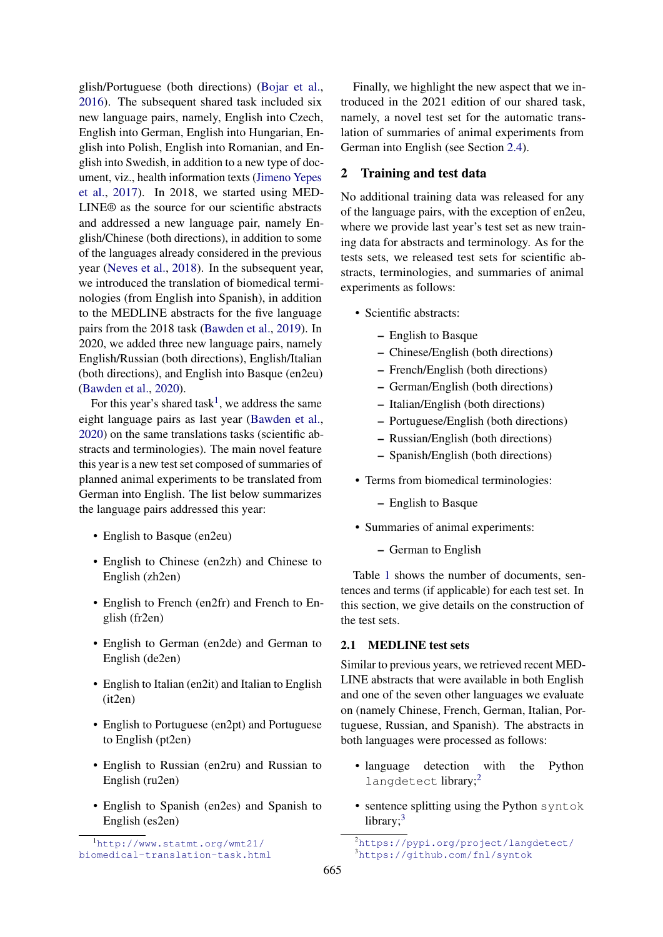glish/Portuguese (both directions) [\(Bojar et al.,](#page-18-1) [2016\)](#page-18-1). The subsequent shared task included six new language pairs, namely, English into Czech, English into German, English into Hungarian, English into Polish, English into Romanian, and English into Swedish, in addition to a new type of document, viz., health information texts [\(Jimeno Yepes](#page-18-2) [et al.,](#page-18-2) [2017\)](#page-18-2). In 2018, we started using MED-LINE® as the source for our scientific abstracts and addressed a new language pair, namely English/Chinese (both directions), in addition to some of the languages already considered in the previous year [\(Neves et al.,](#page-19-1) [2018\)](#page-19-1). In the subsequent year, we introduced the translation of biomedical terminologies (from English into Spanish), in addition to the MEDLINE abstracts for the five language pairs from the 2018 task [\(Bawden et al.,](#page-18-3) [2019\)](#page-18-3). In 2020, we added three new language pairs, namely English/Russian (both directions), English/Italian (both directions), and English into Basque (en2eu) [\(Bawden et al.,](#page-18-4) [2020\)](#page-18-4).

For this year's shared task<sup>[1](#page-1-0)</sup>, we address the same eight language pairs as last year [\(Bawden et al.,](#page-18-4) [2020\)](#page-18-4) on the same translations tasks (scientific abstracts and terminologies). The main novel feature this year is a new test set composed of summaries of planned animal experiments to be translated from German into English. The list below summarizes the language pairs addressed this year:

- English to Basque (en2eu)
- English to Chinese (en2zh) and Chinese to English (zh2en)
- English to French (en2fr) and French to English (fr2en)
- English to German (en2de) and German to English (de2en)
- English to Italian (en2it) and Italian to English (it2en)
- English to Portuguese (en2pt) and Portuguese to English (pt2en)
- English to Russian (en2ru) and Russian to English (ru2en)
- English to Spanish (en2es) and Spanish to English (es2en)

Finally, we highlight the new aspect that we introduced in the 2021 edition of our shared task, namely, a novel test set for the automatic translation of summaries of animal experiments from German into English (see Section [2.4\)](#page-3-0).

#### 2 Training and test data

No additional training data was released for any of the language pairs, with the exception of en2eu, where we provide last year's test set as new training data for abstracts and terminology. As for the tests sets, we released test sets for scientific abstracts, terminologies, and summaries of animal experiments as follows:

- Scientific abstracts:
	- English to Basque
	- Chinese/English (both directions)
	- French/English (both directions)
	- German/English (both directions)
	- Italian/English (both directions)
	- Portuguese/English (both directions)
	- Russian/English (both directions)
	- Spanish/English (both directions)
- Terms from biomedical terminologies:
	- English to Basque
- Summaries of animal experiments:
	- German to English

Table [1](#page-2-0) shows the number of documents, sentences and terms (if applicable) for each test set. In this section, we give details on the construction of the test sets.

#### 2.1 MEDLINE test sets

Similar to previous years, we retrieved recent MED-LINE abstracts that were available in both English and one of the seven other languages we evaluate on (namely Chinese, French, German, Italian, Portuguese, Russian, and Spanish). The abstracts in both languages were processed as follows:

- language detection with the Python langdetect library;<sup>[2](#page-1-1)</sup>
- sentence splitting using the Python syntok library;<sup>[3](#page-1-2)</sup>

<span id="page-1-0"></span><sup>1</sup>[http://www.statmt.org/wmt21/](http://www.statmt.org/wmt21/biomedical-translation-task.html) [biomedical-translation-task.html](http://www.statmt.org/wmt21/biomedical-translation-task.html)

<span id="page-1-2"></span><span id="page-1-1"></span><sup>2</sup><https://pypi.org/project/langdetect/> <sup>3</sup><https://github.com/fnl/syntok>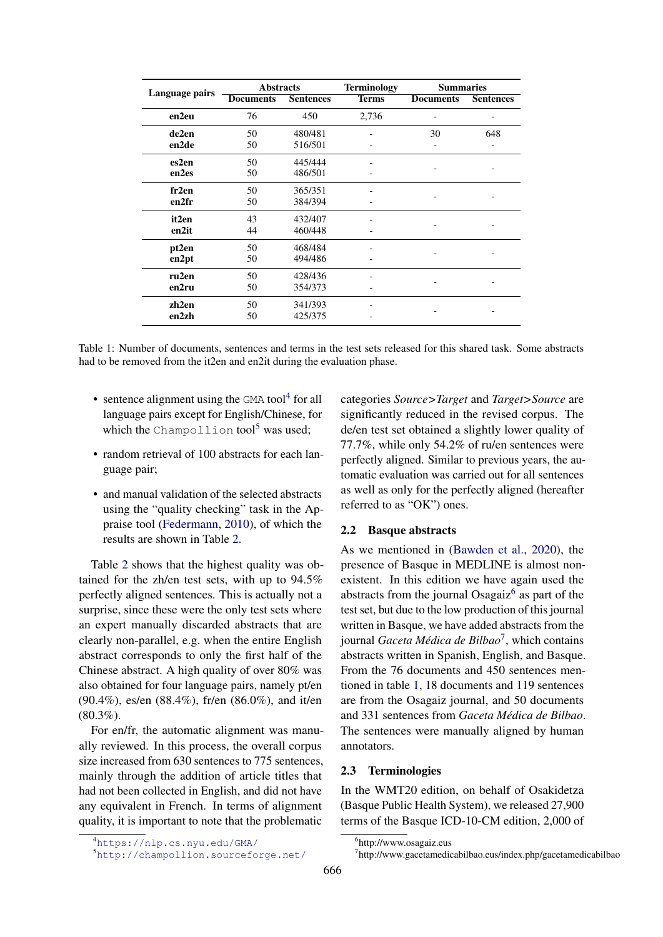<span id="page-2-0"></span>

|                | <b>Abstracts</b> |                  | <b>Terminology</b> | <b>Summaries</b> |                  |  |
|----------------|------------------|------------------|--------------------|------------------|------------------|--|
| Language pairs | <b>Documents</b> | <b>Sentences</b> | <b>Terms</b>       | <b>Documents</b> | <b>Sentences</b> |  |
| en2eu          | 76               | 450              | 2,736              |                  |                  |  |
| de2en          | 50               | 480/481          |                    | 30               | 648              |  |
| en2de          | 50               | 516/501          |                    |                  |                  |  |
| es2en          | 50               | 445/444          |                    |                  |                  |  |
| en2es          | 50               | 486/501          |                    |                  |                  |  |
| fr2en          | 50               | 365/351          |                    |                  |                  |  |
| en2fr          | 50               | 384/394          |                    |                  |                  |  |
| it2en          | 43               | 432/407          |                    |                  |                  |  |
| en2it          | 44               | 460/448          |                    |                  |                  |  |
| pt2en          | 50               | 468/484          |                    |                  |                  |  |
| en2pt          | 50               | 494/486          |                    |                  |                  |  |
| ru2en          | 50               | 428/436          |                    |                  |                  |  |
| en2ru          | 50               | 354/373          |                    |                  |                  |  |
| zh2en          | 50               | 341/393          |                    |                  |                  |  |
| en2zh          | 50               | 425/375          |                    |                  |                  |  |

Table 1: Number of documents, sentences and terms in the test sets released for this shared task. Some abstracts had to be removed from the it2en and en2it during the evaluation phase.

- sentence alignment using the  $GMA$  tool<sup>4</sup> for all language pairs except for English/Chinese, for which the Champollion tool<sup>5</sup> was used;
- random retrieval of 100 abstracts for each language pair;
- and manual validation of the selected abstracts using the "quality checking" task in the Appraise tool (Federmann, 2010), of which the results are shown in Table 2.

Table 2 shows that the highest quality was obtained for the zh/en test sets, with up to 94.5% perfectly aligned sentences. This is actually not a surprise, since these were the only test sets where an expert manually discarded abstracts that are clearly non-parallel, e.g. when the entire English abstract corresponds to only the first half of the Chinese abstract. A high quality of over 80% was also obtained for four language pairs, namely pt/en (90.4%), es/en (88.4%), fr/en (86.0%), and it/en  $(80.3\%)$ .

For en/fr, the automatic alignment was manually reviewed. In this process, the overall corpus size increased from 630 sentences to 775 sentences, mainly through the addition of article titles that had not been collected in English, and did not have any equivalent in French. In terms of alignment quality, it is important to note that the problematic

categories Source>Target and Target>Source are significantly reduced in the revised corpus. The de/en test set obtained a slightly lower quality of 77.7%, while only 54.2% of ru/en sentences were perfectly aligned. Similar to previous years, the automatic evaluation was carried out for all sentences as well as only for the perfectly aligned (hereafter referred to as "OK") ones.

#### $2.2$ **Basque abstracts**

As we mentioned in (Bawden et al., 2020), the presence of Basque in MEDLINE is almost nonexistent. In this edition we have again used the abstracts from the journal Osagaiz<sup>6</sup> as part of the test set, but due to the low production of this journal written in Basque, we have added abstracts from the journal Gaceta Médica de Bilbao<sup>7</sup>, which contains abstracts written in Spanish, English, and Basque. From the 76 documents and 450 sentences mentioned in table 1, 18 documents and 119 sentences are from the Osagaiz journal, and 50 documents and 331 sentences from Gaceta Médica de Bilbao. The sentences were manually aligned by human annotators.

#### $2.3$ **Terminologies**

In the WMT20 edition, on behalf of Osakidetza (Basque Public Health System), we released 27,900 terms of the Basque ICD-10-CM edition, 2,000 of

<span id="page-2-1"></span><sup>4</sup>https://nlp.cs.nyu.edu/GMA/

<span id="page-2-2"></span><sup>&</sup>lt;sup>5</sup>http://champollion.sourceforge.net/

<span id="page-2-3"></span><sup>&</sup>lt;sup>6</sup>http://www.osagaiz.eus

<span id="page-2-4"></span> $7$ http://www.gacetamedicabilbao.eus/index.php/gacetamedicabilbao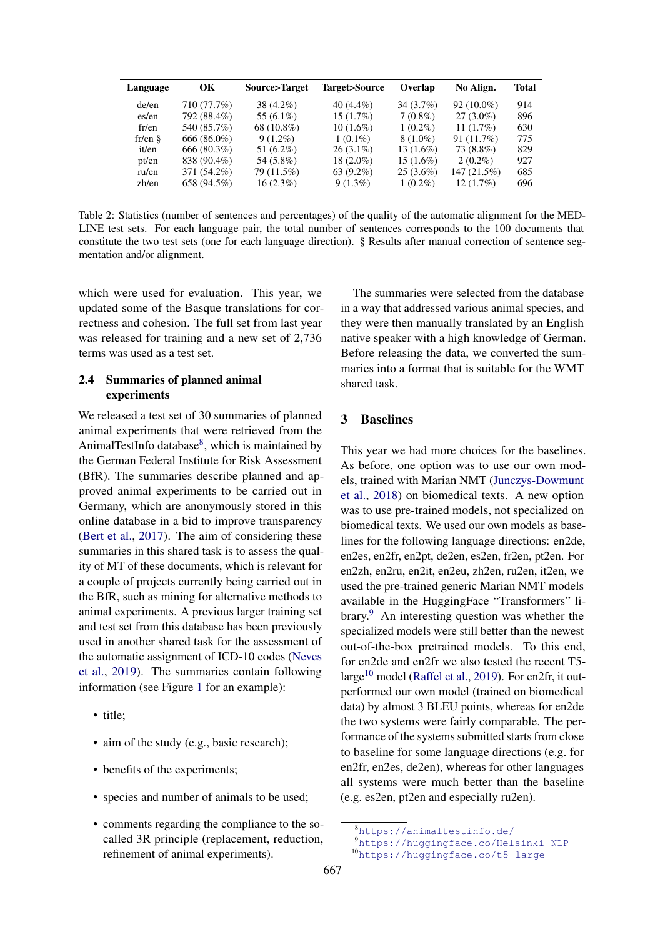<span id="page-3-1"></span>

| Language  | <b>OK</b>   | Source>Target | Target>Source | Overlap     | No Align.    | <b>Total</b> |
|-----------|-------------|---------------|---------------|-------------|--------------|--------------|
| de/en     | 710 (77.7%) | 38 (4.2%)     | $40(4.4\%)$   | 34(3.7%)    | $92(10.0\%)$ | 914          |
| es/en     | 792 (88.4%) | 55 $(6.1\%)$  | $15(1.7\%)$   | $7(0.8\%)$  | $27(3.0\%)$  | 896          |
| fr/en     | 540 (85.7%) | 68 (10.8%)    | $10(1.6\%)$   | $1(0.2\%)$  | 11 $(1.7\%)$ | 630          |
| $fr/en \$ | 666 (86.0%) | $9(1.2\%)$    | $1(0.1\%)$    | $8(1.0\%)$  | 91(11.7%)    | 775          |
| it/en     | 666 (80.3%) | 51 $(6.2\%)$  | $26(3.1\%)$   | $13(1.6\%)$ | 73 (8.8%)    | 829          |
| pt/en     | 838 (90.4%) | 54 (5.8%)     | $18(2.0\%)$   | $15(1.6\%)$ | $2(0.2\%)$   | 927          |
| ru/en     | 371 (54.2%) | 79 (11.5%)    | $63(9.2\%)$   | $25(3.6\%)$ | 147(21.5%)   | 685          |
| zh/en     | 658 (94.5%) | $16(2.3\%)$   | $9(1.3\%)$    | $1(0.2\%)$  | 12(1.7%)     | 696          |

Table 2: Statistics (number of sentences and percentages) of the quality of the automatic alignment for the MED-LINE test sets. For each language pair, the total number of sentences corresponds to the 100 documents that constitute the two test sets (one for each language direction). § Results after manual correction of sentence segmentation and/or alignment.

which were used for evaluation. This year, we updated some of the Basque translations for correctness and cohesion. The full set from last year was released for training and a new set of 2,736 terms was used as a test set.

# <span id="page-3-0"></span>2.4 Summaries of planned animal experiments

We released a test set of 30 summaries of planned animal experiments that were retrieved from the AnimalTestInfo database<sup>[8](#page-3-2)</sup>, which is maintained by the German Federal Institute for Risk Assessment (BfR). The summaries describe planned and approved animal experiments to be carried out in Germany, which are anonymously stored in this online database in a bid to improve transparency [\(Bert et al.,](#page-18-6) [2017\)](#page-18-6). The aim of considering these summaries in this shared task is to assess the quality of MT of these documents, which is relevant for a couple of projects currently being carried out in the BfR, such as mining for alternative methods to animal experiments. A previous larger training set and test set from this database has been previously used in another shared task for the assessment of the automatic assignment of ICD-10 codes [\(Neves](#page-19-2) [et al.,](#page-19-2) [2019\)](#page-19-2). The summaries contain following information (see Figure [1](#page-4-0) for an example):

- title;
- aim of the study (e.g., basic research);
- benefits of the experiments;
- species and number of animals to be used;
- comments regarding the compliance to the socalled 3R principle (replacement, reduction, refinement of animal experiments).

The summaries were selected from the database in a way that addressed various animal species, and they were then manually translated by an English native speaker with a high knowledge of German. Before releasing the data, we converted the summaries into a format that is suitable for the WMT shared task.

# 3 Baselines

This year we had more choices for the baselines. As before, one option was to use our own models, trained with Marian NMT [\(Junczys-Dowmunt](#page-18-7) [et al.,](#page-18-7) [2018\)](#page-18-7) on biomedical texts. A new option was to use pre-trained models, not specialized on biomedical texts. We used our own models as baselines for the following language directions: en2de, en2es, en2fr, en2pt, de2en, es2en, fr2en, pt2en. For en2zh, en2ru, en2it, en2eu, zh2en, ru2en, it2en, we used the pre-trained generic Marian NMT models available in the HuggingFace "Transformers" library.[9](#page-3-3) An interesting question was whether the specialized models were still better than the newest out-of-the-box pretrained models. To this end, for en2de and en2fr we also tested the recent T5- large<sup>[10](#page-3-4)</sup> model [\(Raffel et al.,](#page-19-3) [2019\)](#page-19-3). For en2fr, it outperformed our own model (trained on biomedical data) by almost 3 BLEU points, whereas for en2de the two systems were fairly comparable. The performance of the systems submitted starts from close to baseline for some language directions (e.g. for en2fr, en2es, de2en), whereas for other languages all systems were much better than the baseline (e.g. es2en, pt2en and especially ru2en).

<span id="page-3-2"></span><sup>8</sup><https://animaltestinfo.de/>

<span id="page-3-3"></span><sup>9</sup><https://huggingface.co/Helsinki-NLP>

<span id="page-3-4"></span><sup>10</sup><https://huggingface.co/t5-large>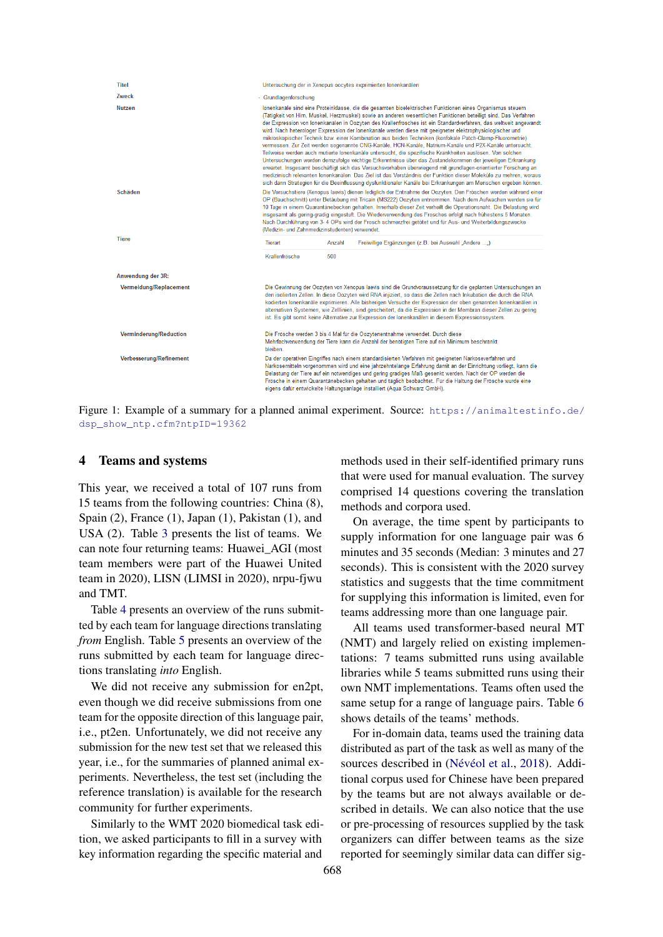<span id="page-4-0"></span>

| <b>Titel</b>                  |                                                |        | Untersuchung der in Xenopus oocytes exprimierten Ionenkanälen                                                                                                                                                                                                                                                                                                                                                                                                                                                                                                                                                                                                                                                                                                                                                                                                                                                                                                                                                                                                                                                                                                                                                                                                       |
|-------------------------------|------------------------------------------------|--------|---------------------------------------------------------------------------------------------------------------------------------------------------------------------------------------------------------------------------------------------------------------------------------------------------------------------------------------------------------------------------------------------------------------------------------------------------------------------------------------------------------------------------------------------------------------------------------------------------------------------------------------------------------------------------------------------------------------------------------------------------------------------------------------------------------------------------------------------------------------------------------------------------------------------------------------------------------------------------------------------------------------------------------------------------------------------------------------------------------------------------------------------------------------------------------------------------------------------------------------------------------------------|
| Zweck                         | - Grundlagenforschung                          |        |                                                                                                                                                                                                                                                                                                                                                                                                                                                                                                                                                                                                                                                                                                                                                                                                                                                                                                                                                                                                                                                                                                                                                                                                                                                                     |
| <b>Nutzen</b>                 |                                                |        | Ionenkanäle sind eine Proteinklasse, die die gesamten bioelektrischen Funktionen eines Organismus steuern<br>(Tätigkeit von Hirn, Muskel, Herzmuskel) sowie an anderen wesentlichen Funktionen beteiligt sind. Das Verfahren<br>der Expression von Ionenkanälen in Oozyten des Krallenfrosches ist ein Standardverfahren, das weltweit angewandt<br>wird. Nach heterologer Expression der lonenkanäle werden diese mit geeigneter elektrophysiologischer und<br>mikroskopischer Technik bzw. einer Kombination aus beiden Techniken (konfokale Patch-Clamp-Fluorometrie)<br>vermessen. Zur Zeit werden sogenannte CNG-Kanäle, HCN-Kanäle, Natrium-Kanäle und P2X-Kanäle untersucht.<br>Teilweise werden auch mutierte Ionenkanäle untersucht, die spezifische Krankheiten auslösen. Von solchen<br>Untersuchungen werden demzufolge wichtige Erkenntnisse über das Zustandekommen der jeweiligen Erkrankung<br>erwartet. Insgesamt beschäftigt sich das Versuchsvorhaben überwiegend mit grundlagen-orientierter Forschung an<br>medizinisch relevanten Ionenkanälen. Das Ziel ist das Verständnis der Funktion dieser Moleküle zu mehren, woraus<br>sich dann Strategien für die Beeinflussung dysfunktionaler Kanäle bei Erkrankungen am Menschen ergeben können. |
| Schäden                       | (Medizin- und Zahnmedizinstudenten) verwendet. |        | Die Versuchstiere (Xenopus laevis) dienen lediglich der Entnahme der Oozyten. Den Fröschen werden während einer<br>OP (Bauchschnitt) unter Betäubung mit Tricain (MS222) Oozyten entnommen. Nach dem Aufwachen werden sie für<br>10 Tage in einem Quarantänebecken gehalten. Innerhalb dieser Zeit verheilt die Operationsnaht. Die Belastung wird<br>insgesamt als gering-gradig eingestuft. Die Wiederverwendung des Frosches erfolgt nach frühestens 5 Monaten.<br>Nach Durchführung von 3- 4 OPs wird der Frosch schmerzfrei getötet und für Aus- und Weiterbildungszwecke                                                                                                                                                                                                                                                                                                                                                                                                                                                                                                                                                                                                                                                                                      |
| <b>Tiere</b>                  | <b>Tierart</b>                                 | Anzahl | Freiwillige Ergänzungen (z.B. bei Auswahl "Andere ")                                                                                                                                                                                                                                                                                                                                                                                                                                                                                                                                                                                                                                                                                                                                                                                                                                                                                                                                                                                                                                                                                                                                                                                                                |
|                               | Krallenfrösche                                 | 500    |                                                                                                                                                                                                                                                                                                                                                                                                                                                                                                                                                                                                                                                                                                                                                                                                                                                                                                                                                                                                                                                                                                                                                                                                                                                                     |
| Anwendung der 3R:             |                                                |        |                                                                                                                                                                                                                                                                                                                                                                                                                                                                                                                                                                                                                                                                                                                                                                                                                                                                                                                                                                                                                                                                                                                                                                                                                                                                     |
| Vermeidung/Replacement        |                                                |        | Die Gewinnung der Oozyten von Xenopus laevis sind die Grundvoraussetzung für die geplanten Untersuchungen an<br>den isolierten Zellen. In diese Oozyten wird RNA injiziert, so dass die Zellen nach Inkubation die durch die RNA<br>kodierten Ionenkanäle exprimieren. Alle bisherigen Versuche der Expression der oben genannten Ionenkanälen in<br>alternativen Systemen, wie Zelllinien, sind gescheitert, da die Expression in der Membran dieser Zellen zu gering<br>ist. Es gibt somit keine Alternative zur Expression der Ionenkanälen in diesem Expressionssystem.                                                                                                                                                                                                                                                                                                                                                                                                                                                                                                                                                                                                                                                                                         |
| <b>Verminderung/Reduction</b> | bleiben.                                       |        | Die Frösche werden 3 bis 4 Mal für die Oozytenentnahme verwendet. Durch diese<br>Mehrfachverwendung der Tiere kann die Anzahl der benötigten Tiere auf ein Minimum beschränkt                                                                                                                                                                                                                                                                                                                                                                                                                                                                                                                                                                                                                                                                                                                                                                                                                                                                                                                                                                                                                                                                                       |
| Verbesserung/Refinement       |                                                |        | Da der operativen Eingriffes nach einem standardisierten Verfahren mit geeigneten Narkoseverfahren und<br>Narkosemitteln vorgenommen wird und eine jahrzehntelange Erfahrung damit an der Einrichtung vorliegt, kann die<br>Belastung der Tiere auf ein notwendiges und gering gradiges Maß gesenkt werden. Nach der OP werden die<br>Frösche in einem Quarantänebecken gehalten und täglich beobachtet. Für die Haltung der Frösche wurde eine<br>eigens dafür entwickelte Haltungsanlage installiert (Aqua Schwarz GmbH).                                                                                                                                                                                                                                                                                                                                                                                                                                                                                                                                                                                                                                                                                                                                         |

Figure 1: Example of a summary for a planned animal experiment. Source: [https://animaltestinfo.de/](https://animaltestinfo.de/dsp_show_ntp.cfm?ntpID=19362) [dsp\\_show\\_ntp.cfm?ntpID=19362](https://animaltestinfo.de/dsp_show_ntp.cfm?ntpID=19362)

#### 4 Teams and systems

This year, we received a total of 107 runs from 15 teams from the following countries: China (8), Spain (2), France (1), Japan (1), Pakistan (1), and USA (2). Table [3](#page-5-0) presents the list of teams. We can note four returning teams: Huawei\_AGI (most team members were part of the Huawei United team in 2020), LISN (LIMSI in 2020), nrpu-fjwu and TMT.

Table [4](#page-5-1) presents an overview of the runs submitted by each team for language directions translating *from* English. Table [5](#page-5-2) presents an overview of the runs submitted by each team for language directions translating *into* English.

We did not receive any submission for en2pt, even though we did receive submissions from one team for the opposite direction of this language pair, i.e., pt2en. Unfortunately, we did not receive any submission for the new test set that we released this year, i.e., for the summaries of planned animal experiments. Nevertheless, the test set (including the reference translation) is available for the research community for further experiments.

Similarly to the WMT 2020 biomedical task edition, we asked participants to fill in a survey with key information regarding the specific material and

methods used in their self-identified primary runs that were used for manual evaluation. The survey comprised 14 questions covering the translation methods and corpora used.

On average, the time spent by participants to supply information for one language pair was 6 minutes and 35 seconds (Median: 3 minutes and 27 seconds). This is consistent with the 2020 survey statistics and suggests that the time commitment for supplying this information is limited, even for teams addressing more than one language pair.

All teams used transformer-based neural MT (NMT) and largely relied on existing implementations: 7 teams submitted runs using available libraries while 5 teams submitted runs using their own NMT implementations. Teams often used the same setup for a range of language pairs. Table [6](#page-6-0) shows details of the teams' methods.

For in-domain data, teams used the training data distributed as part of the task as well as many of the sources described in [\(Névéol et al.,](#page-19-4) [2018\)](#page-19-4). Additional corpus used for Chinese have been prepared by the teams but are not always available or described in details. We can also notice that the use or pre-processing of resources supplied by the task organizers can differ between teams as the size reported for seemingly similar data can differ sig-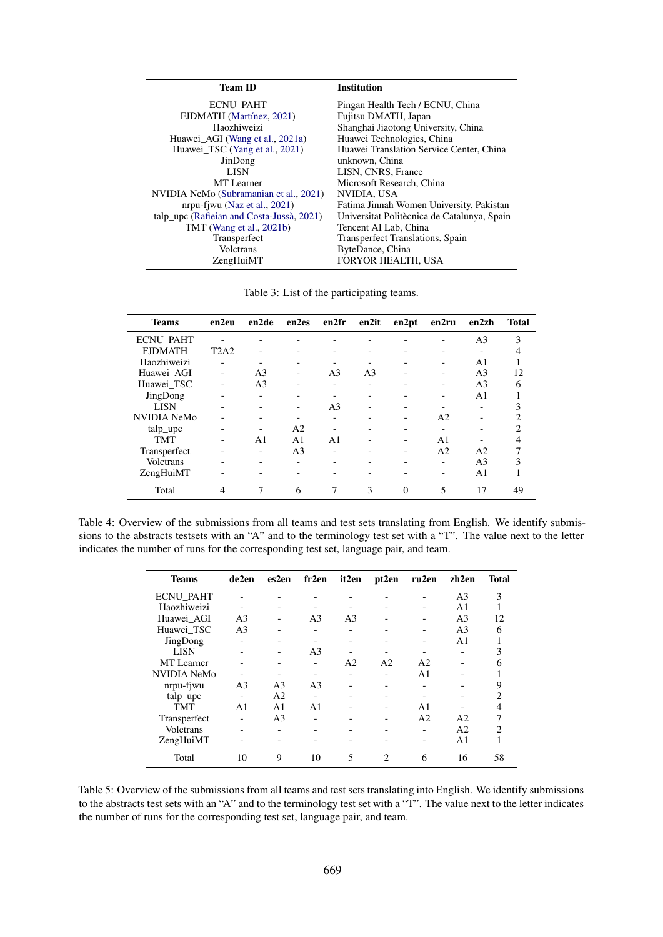<span id="page-5-0"></span>

| <b>Team ID</b>                            | <b>Institution</b>                          |
|-------------------------------------------|---------------------------------------------|
| <b>ECNU PAHT</b>                          | Pingan Health Tech / ECNU, China            |
| FJDMATH (Martínez, 2021)                  | Fujitsu DMATH, Japan                        |
| Haozhiweizi                               | Shanghai Jiaotong University, China         |
| Huawei_AGI (Wang et al., 2021a)           | Huawei Technologies, China                  |
| Huawei TSC (Yang et al., 2021)            | Huawei Translation Service Center, China    |
| JinDong                                   | unknown, China                              |
| <b>LISN</b>                               | LISN, CNRS, France                          |
| MT Learner                                | Microsoft Research, China                   |
| NVIDIA NeMo (Subramanian et al., 2021)    | NVIDIA, USA                                 |
| nrpu-fiwu (Naz et al., 2021)              | Fatima Jinnah Women University, Pakistan    |
| talp_upc (Rafieian and Costa-Jussà, 2021) | Universitat Politècnica de Catalunya, Spain |
| TMT (Wang et al., 2021b)                  | Tencent AI Lab, China                       |
| Transperfect                              | Transperfect Translations, Spain            |
| Volctrans                                 | ByteDance, China                            |
| ZengHuiMT                                 | <b>FORYOR HEALTH, USA</b>                   |

Table 3: List of the participating teams.

<span id="page-5-1"></span>

| <b>Teams</b>       | en2eu                    | en2de                    | en2es                    | en2fr                    | en2it          | en2pt    | en2ru                    | en2zh          | <b>Total</b>   |
|--------------------|--------------------------|--------------------------|--------------------------|--------------------------|----------------|----------|--------------------------|----------------|----------------|
| <b>ECNU PAHT</b>   |                          | $\overline{\phantom{0}}$ |                          |                          |                |          |                          | A <sub>3</sub> | 3              |
| <b>FJDMATH</b>     | T2A2                     |                          |                          |                          |                |          |                          |                |                |
| Haozhiweizi        | $\overline{\phantom{0}}$ |                          |                          |                          |                |          | $\overline{\phantom{0}}$ | A <sub>1</sub> |                |
| Huawei AGI         |                          | A <sub>3</sub>           |                          | A <sub>3</sub>           | A <sub>3</sub> |          |                          | A <sub>3</sub> | 12             |
| Huawei TSC         |                          | A <sub>3</sub>           |                          | $\overline{\phantom{0}}$ |                |          |                          | A <sub>3</sub> | 6              |
| JingDong           | ۰                        | ۰                        |                          |                          |                |          |                          | A <sub>1</sub> |                |
| <b>LISN</b>        | ۰                        | $\overline{\phantom{0}}$ | $\overline{\phantom{0}}$ | A <sub>3</sub>           |                |          |                          |                |                |
| <b>NVIDIA NeMo</b> |                          |                          |                          | $\overline{\phantom{0}}$ |                |          | A2                       |                | $\overline{c}$ |
| talp_upc           |                          |                          | A <sub>2</sub>           |                          |                |          |                          |                | 2              |
| <b>TMT</b>         | $\overline{\phantom{0}}$ | A <sub>1</sub>           | A <sub>1</sub>           | A <sub>1</sub>           |                |          | A <sub>1</sub>           |                |                |
| Transperfect       |                          | $\overline{\phantom{0}}$ | A <sub>3</sub>           | $\overline{\phantom{0}}$ |                | -        | A <sub>2</sub>           | A <sub>2</sub> |                |
| <b>Volctrans</b>   |                          | $\overline{\phantom{0}}$ | $\overline{\phantom{0}}$ |                          |                |          | -                        | A <sub>3</sub> |                |
| ZengHuiMT          |                          |                          |                          |                          |                |          |                          | A <sub>1</sub> |                |
| Total              | $\overline{4}$           | 7                        | 6                        |                          | 3              | $\Omega$ | 5                        | 17             | 49             |

<span id="page-5-2"></span>Table 4: Overview of the submissions from all teams and test sets translating from English. We identify submissions to the abstracts testsets with an "A" and to the terminology test set with a "T". The value next to the letter indicates the number of runs for the corresponding test set, language pair, and team.

| <b>Teams</b>       | de2en                    | es2en          | fr2en                    | it2en          | pt2en          | ru2en          | zh2en          | <b>Total</b> |
|--------------------|--------------------------|----------------|--------------------------|----------------|----------------|----------------|----------------|--------------|
| <b>ECNU PAHT</b>   |                          |                |                          |                |                |                | A <sub>3</sub> | 3            |
| Haozhiweizi        | $\overline{\phantom{0}}$ |                |                          |                |                |                | A1             |              |
| Huawei AGI         | A <sub>3</sub>           |                | A <sub>3</sub>           | A <sub>3</sub> |                |                | A <sub>3</sub> | 12           |
| Huawei TSC         | A <sub>3</sub>           |                |                          |                |                |                | A <sub>3</sub> | 6            |
| JingDong           | $\overline{\phantom{0}}$ |                |                          |                |                |                | A1             |              |
| <b>LISN</b>        |                          |                | A <sub>3</sub>           |                |                |                |                |              |
| <b>MT</b> Learner  |                          |                |                          | A2             | A <sub>2</sub> | A2             |                |              |
| <b>NVIDIA NeMo</b> |                          |                |                          |                |                | A <sub>1</sub> |                |              |
| nrpu-fjwu          | A <sub>3</sub>           | A <sub>3</sub> | A <sub>3</sub>           |                |                |                |                |              |
| talp_upc           | ۰                        | A <sub>2</sub> | $\overline{\phantom{0}}$ |                |                |                |                |              |
| <b>TMT</b>         | A <sub>1</sub>           | A <sub>1</sub> | A <sub>1</sub>           |                |                | A1             |                |              |
| Transperfect       |                          | A <sub>3</sub> |                          |                |                | A2             | A2             |              |
| <b>Volctrans</b>   |                          |                |                          |                |                | -              | A <sub>2</sub> |              |
| ZengHuiMT          |                          |                |                          |                |                |                | A <sub>1</sub> |              |
| Total              | 10                       | 9              | 10                       | 5              | 2              | 6              | 16             | 58           |

Table 5: Overview of the submissions from all teams and test sets translating into English. We identify submissions to the abstracts test sets with an "A" and to the terminology test set with a "T". The value next to the letter indicates the number of runs for the corresponding test set, language pair, and team.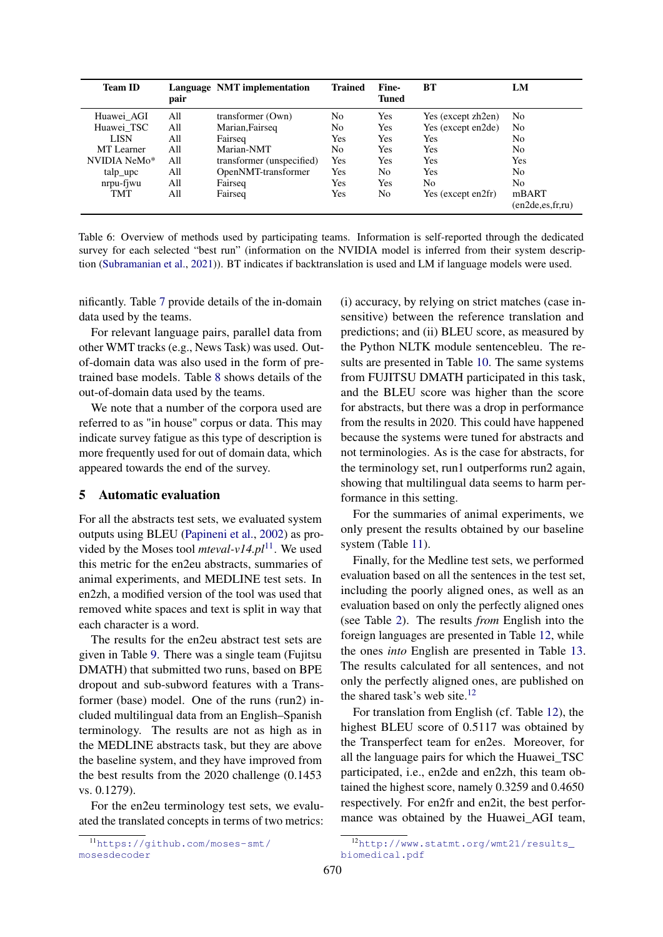<span id="page-6-0"></span>

| <b>Team ID</b> | pair | Language NMT implementation | <b>Trained</b> | Fine-<br>Tuned | BT                 | LM                           |
|----------------|------|-----------------------------|----------------|----------------|--------------------|------------------------------|
| Huawei AGI     | All  | transformer (Own)           | N <sub>0</sub> | Yes            | Yes (except zh2en) | No                           |
| Huawei TSC     | All  | Marian, Fairseq             | No             | Yes            | Yes (except en2de) | No                           |
| LISN           | All  | Fairseq                     | Yes            | Yes            | Yes                | N <sub>0</sub>               |
| MT Learner     | All  | Marian-NMT                  | No             | <b>Yes</b>     | Yes                | No                           |
| NVIDIA NeMo*   | All  | transformer (unspecified)   | Yes            | Yes            | Yes                | Yes                          |
| talp_upc       | All  | OpenNMT-transformer         | Yes            | No             | Yes                | No                           |
| nrpu-fjwu      | All  | Fairseq                     | Yes            | Yes            | N <sub>0</sub>     | No                           |
| <b>TMT</b>     | All  | Fairseq                     | Yes            | No             | Yes (except en2fr) | mBART<br>(en2de, es, fr, ru) |

Table 6: Overview of methods used by participating teams. Information is self-reported through the dedicated survey for each selected "best run" (information on the NVIDIA model is inferred from their system description [\(Subramanian et al.,](#page-19-8) [2021\)](#page-19-8)). BT indicates if backtranslation is used and LM if language models were used.

nificantly. Table [7](#page-7-0) provide details of the in-domain data used by the teams.

For relevant language pairs, parallel data from other WMT tracks (e.g., News Task) was used. Outof-domain data was also used in the form of pretrained base models. Table [8](#page-8-0) shows details of the out-of-domain data used by the teams.

We note that a number of the corpora used are referred to as "in house" corpus or data. This may indicate survey fatigue as this type of description is more frequently used for out of domain data, which appeared towards the end of the survey.

# 5 Automatic evaluation

For all the abstracts test sets, we evaluated system outputs using BLEU [\(Papineni et al.,](#page-19-12) [2002\)](#page-19-12) as provided by the Moses tool *mteval-v14.pl*<sup>[11](#page-6-1)</sup>. We used this metric for the en2eu abstracts, summaries of animal experiments, and MEDLINE test sets. In en2zh, a modified version of the tool was used that removed white spaces and text is split in way that each character is a word.

The results for the en2eu abstract test sets are given in Table [9.](#page-8-1) There was a single team (Fujitsu DMATH) that submitted two runs, based on BPE dropout and sub-subword features with a Transformer (base) model. One of the runs (run2) included multilingual data from an English–Spanish terminology. The results are not as high as in the MEDLINE abstracts task, but they are above the baseline system, and they have improved from the best results from the 2020 challenge (0.1453 vs. 0.1279).

For the en2eu terminology test sets, we evaluated the translated concepts in terms of two metrics: (i) accuracy, by relying on strict matches (case insensitive) between the reference translation and predictions; and (ii) BLEU score, as measured by the Python NLTK module sentencebleu. The results are presented in Table [10.](#page-8-2) The same systems from FUJITSU DMATH participated in this task, and the BLEU score was higher than the score for abstracts, but there was a drop in performance from the results in 2020. This could have happened because the systems were tuned for abstracts and not terminologies. As is the case for abstracts, for the terminology set, run1 outperforms run2 again, showing that multilingual data seems to harm performance in this setting.

For the summaries of animal experiments, we only present the results obtained by our baseline system (Table [11\)](#page-8-3).

Finally, for the Medline test sets, we performed evaluation based on all the sentences in the test set, including the poorly aligned ones, as well as an evaluation based on only the perfectly aligned ones (see Table [2\)](#page-3-1). The results *from* English into the foreign languages are presented in Table [12,](#page-9-0) while the ones *into* English are presented in Table [13.](#page-10-0) The results calculated for all sentences, and not only the perfectly aligned ones, are published on the shared task's web site. $12$ 

For translation from English (cf. Table [12\)](#page-9-0), the highest BLEU score of 0.5117 was obtained by the Transperfect team for en2es. Moreover, for all the language pairs for which the Huawei\_TSC participated, i.e., en2de and en2zh, this team obtained the highest score, namely 0.3259 and 0.4650 respectively. For en2fr and en2it, the best performance was obtained by the Huawei\_AGI team,

<span id="page-6-1"></span><sup>11</sup>[https://github.com/moses-smt/](https://github.com/moses-smt/mosesdecoder) [mosesdecoder](https://github.com/moses-smt/mosesdecoder)

<span id="page-6-2"></span><sup>12</sup>[http://www.statmt.org/wmt21/results\\_](http://www.statmt.org/wmt21/results_biomedical.pdf) [biomedical.pdf](http://www.statmt.org/wmt21/results_biomedical.pdf)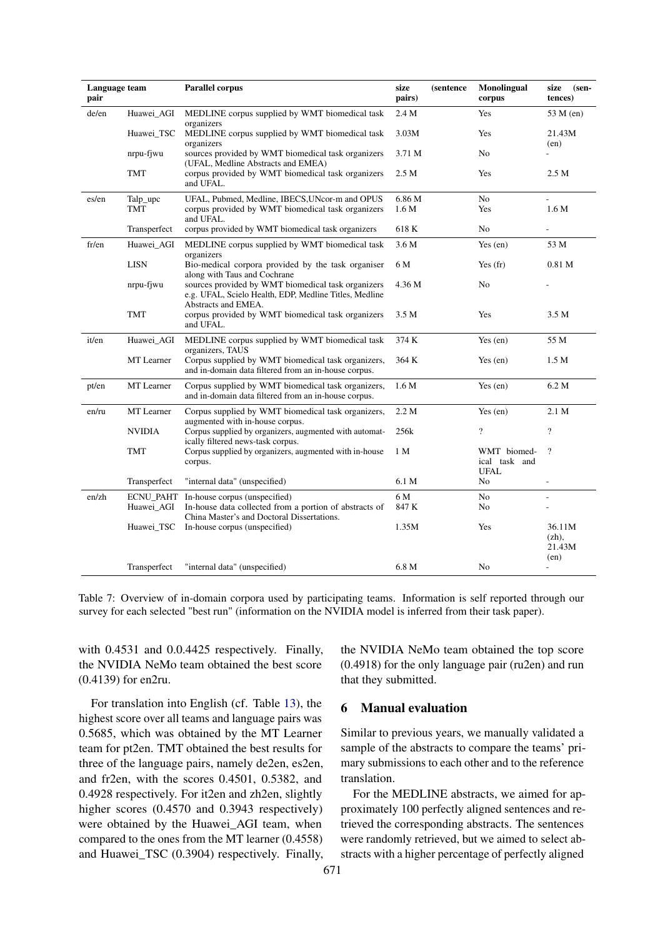<span id="page-7-0"></span>

| Language team<br>pair |                  | <b>Parallel corpus</b>                                                                                                              | size<br>pairs)             | <i>(sentence)</i> | <b>Monolingual</b><br>corpus                | size<br>$(sen-$<br>tences)           |
|-----------------------|------------------|-------------------------------------------------------------------------------------------------------------------------------------|----------------------------|-------------------|---------------------------------------------|--------------------------------------|
| de/en                 | Huawei_AGI       | MEDLINE corpus supplied by WMT biomedical task<br>organizers                                                                        | 2.4 M                      |                   | Yes                                         | 53 M (en)                            |
|                       | Huawei_TSC       | MEDLINE corpus supplied by WMT biomedical task<br>organizers                                                                        | 3.03M                      |                   | Yes                                         | 21.43M<br>(en)                       |
|                       | nrpu-fjwu        | sources provided by WMT biomedical task organizers<br>(UFAL, Medline Abstracts and EMEA)                                            | 3.71 M                     |                   | No                                          |                                      |
|                       | <b>TMT</b>       | corpus provided by WMT biomedical task organizers<br>and UFAL.                                                                      | 2.5 M                      |                   | Yes                                         | 2.5 M                                |
| es/en                 | Talp_upc<br>TMT  | UFAL, Pubmed, Medline, IBECS, UNcor-m and OPUS<br>corpus provided by WMT biomedical task organizers                                 | 6.86 M<br>1.6 <sub>M</sub> |                   | No<br>Yes                                   | L.<br>1.6 M                          |
|                       |                  | and UFAL.                                                                                                                           |                            |                   |                                             |                                      |
|                       | Transperfect     | corpus provided by WMT biomedical task organizers                                                                                   | 618 K                      |                   | No                                          |                                      |
| fr/en                 | Huawei_AGI       | MEDLINE corpus supplied by WMT biomedical task<br>organizers                                                                        | 3.6 M                      |                   | Yes $(en)$                                  | 53 M                                 |
|                       | <b>LISN</b>      | Bio-medical corpora provided by the task organiser<br>along with Taus and Cochrane                                                  | 6 M                        |                   | Yes $(fr)$                                  | 0.81 <sub>M</sub>                    |
|                       | nrpu-fjwu        | sources provided by WMT biomedical task organizers<br>e.g. UFAL, Scielo Health, EDP, Medline Titles, Medline<br>Abstracts and EMEA. | 4.36 M                     |                   | N <sub>0</sub>                              |                                      |
|                       | <b>TMT</b>       | corpus provided by WMT biomedical task organizers<br>and UFAL.                                                                      | 3.5 M                      |                   | Yes                                         | 3.5 M                                |
| it/en                 | Huawei_AGI       | MEDLINE corpus supplied by WMT biomedical task<br>organizers, TAUS                                                                  | 374 K                      |                   | Yes $(en)$                                  | 55 M                                 |
|                       | MT Learner       | Corpus supplied by WMT biomedical task organizers,<br>and in-domain data filtered from an in-house corpus.                          | 364 K                      |                   | Yes $(en)$                                  | 1.5 M                                |
| pt/en                 | MT Learner       | Corpus supplied by WMT biomedical task organizers,<br>and in-domain data filtered from an in-house corpus.                          | 1.6 <sub>M</sub>           |                   | Yes $(en)$                                  | 6.2 M                                |
| en/ru                 | MT Learner       | Corpus supplied by WMT biomedical task organizers,<br>augmented with in-house corpus.                                               | 2.2 M                      |                   | Yes $(en)$                                  | 2.1 M                                |
|                       | <b>NVIDIA</b>    | Corpus supplied by organizers, augmented with automat-<br>ically filtered news-task corpus.                                         | 256k                       |                   | $\overline{?}$                              | $\overline{?}$                       |
|                       | <b>TMT</b>       | Corpus supplied by organizers, augmented with in-house<br>corpus.                                                                   | 1 M                        |                   | WMT biomed-<br>ical task and<br><b>UFAL</b> | $\gamma$                             |
|                       | Transperfect     | "internal data" (unspecified)                                                                                                       | 6.1 M                      |                   | No                                          | L.                                   |
| $en$ /zh              | <b>ECNU PAHT</b> | In-house corpus (unspecified)                                                                                                       | 6 M                        |                   | No                                          |                                      |
|                       | Huawei_AGI       | In-house data collected from a portion of abstracts of<br>China Master's and Doctoral Dissertations.                                | 847 K                      |                   | No                                          |                                      |
|                       | Huawei_TSC       | In-house corpus (unspecified)                                                                                                       | 1.35M                      |                   | Yes                                         | 36.11M<br>$(zh)$ ,<br>21.43M<br>(en) |
|                       | Transperfect     | "internal data" (unspecified)                                                                                                       | 6.8 M                      |                   | No                                          | ÷,                                   |

Table 7: Overview of in-domain corpora used by participating teams. Information is self reported through our survey for each selected "best run" (information on the NVIDIA model is inferred from their task paper).

with 0.4531 and 0.0.4425 respectively. Finally, the NVIDIA NeMo team obtained the best score (0.4139) for en2ru.

For translation into English (cf. Table [13\)](#page-10-0), the highest score over all teams and language pairs was 0.5685, which was obtained by the MT Learner team for pt2en. TMT obtained the best results for three of the language pairs, namely de2en, es2en, and fr2en, with the scores 0.4501, 0.5382, and 0.4928 respectively. For it2en and zh2en, slightly higher scores (0.4570 and 0.3943 respectively) were obtained by the Huawei AGI team, when compared to the ones from the MT learner (0.4558) and Huawei\_TSC (0.3904) respectively. Finally,

the NVIDIA NeMo team obtained the top score (0.4918) for the only language pair (ru2en) and run that they submitted.

#### 6 Manual evaluation

Similar to previous years, we manually validated a sample of the abstracts to compare the teams' primary submissions to each other and to the reference translation.

For the MEDLINE abstracts, we aimed for approximately 100 perfectly aligned sentences and retrieved the corresponding abstracts. The sentences were randomly retrieved, but we aimed to select abstracts with a higher percentage of perfectly aligned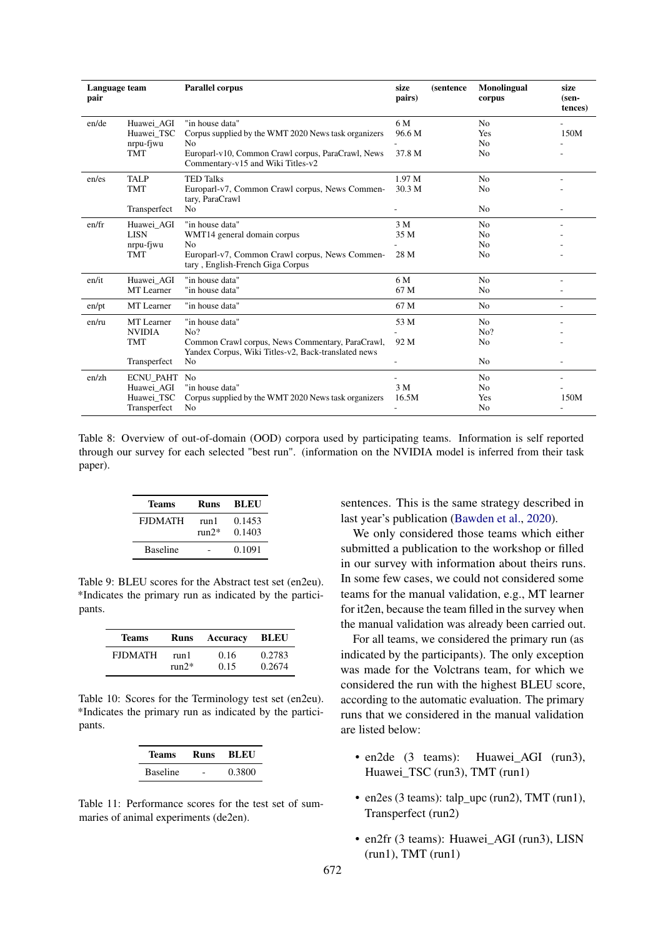<span id="page-8-0"></span>

| Language team<br>pair |                                                              | <b>Parallel corpus</b>                                                                                                                                                               | size<br>pairs)          | <i>(sentence)</i> | <b>Monolingual</b><br>corpus                             | size<br>(sen-<br>tences) |
|-----------------------|--------------------------------------------------------------|--------------------------------------------------------------------------------------------------------------------------------------------------------------------------------------|-------------------------|-------------------|----------------------------------------------------------|--------------------------|
| en/de                 | Huawei AGI<br>Huawei TSC<br>nrpu-fjwu<br><b>TMT</b>          | "in house data"<br>Corpus supplied by the WMT 2020 News task organizers<br>N <sub>0</sub><br>Europarl-v10, Common Crawl corpus, ParaCrawl, News<br>Commentary-v15 and Wiki Titles-v2 | 6 M<br>96.6 M<br>37.8 M |                   | N <sub>o</sub><br>Yes<br>No<br>N <sub>0</sub>            | 150M                     |
| en/es                 | <b>TALP</b><br><b>TMT</b><br>Transperfect                    | <b>TED Talks</b><br>Europarl-v7, Common Crawl corpus, News Commen-<br>tary, ParaCrawl<br>N <sub>o</sub>                                                                              | 1.97 M<br>30.3 M        |                   | N <sub>o</sub><br>No<br>N <sub>0</sub>                   |                          |
| en/fr                 | Huawei AGI<br><b>LISN</b><br>nrpu-fjwu<br><b>TMT</b>         | "in house data"<br>WMT14 general domain corpus<br>N <sub>0</sub><br>Europarl-v7, Common Crawl corpus, News Commen-<br>tary, English-French Giga Corpus                               | 3 M<br>35 M<br>28 M     |                   | N <sub>0</sub><br>No<br>N <sub>0</sub><br>N <sub>0</sub> |                          |
| en/it                 | Huawei_AGI<br>MT Learner                                     | "in house data"<br>"in house data"                                                                                                                                                   | 6 M<br>67 M             |                   | N <sub>0</sub><br>No                                     |                          |
| en/pt                 | MT Learner                                                   | "in house data"                                                                                                                                                                      | 67 M                    |                   | N <sub>0</sub>                                           |                          |
| en/ru                 | MT Learner<br><b>NVIDIA</b><br><b>TMT</b><br>Transperfect    | "in house data"<br>No?<br>Common Crawl corpus, News Commentary, ParaCrawl,<br>Yandex Corpus, Wiki Titles-v2, Back-translated news<br>No                                              | 53 M<br>92 M            |                   | N <sub>0</sub><br>No?<br>N <sub>0</sub><br>No            |                          |
| en/zh                 | <b>ECNU_PAHT</b><br>Huawei AGI<br>Huawei_TSC<br>Transperfect | No<br>"in house data"<br>Corpus supplied by the WMT 2020 News task organizers<br>No                                                                                                  | 3 M<br>16.5M            |                   | N <sub>0</sub><br>No<br>Yes<br>No                        | 150M                     |

Table 8: Overview of out-of-domain (OOD) corpora used by participating teams. Information is self reported through our survey for each selected "best run". (information on the NVIDIA model is inferred from their task paper).

<span id="page-8-1"></span>

| Teams           | Runs             | BLEU             |
|-----------------|------------------|------------------|
| <b>FIDMATH</b>  | run 1<br>$run2*$ | 0.1453<br>0.1403 |
| <b>Baseline</b> |                  | 0.1091           |

Table 9: BLEU scores for the Abstract test set (en2eu). \*Indicates the primary run as indicated by the participants.

<span id="page-8-2"></span>

| <b>Teams</b>   | Runs    | Accuracy | BLEU   |
|----------------|---------|----------|--------|
| <b>FIDMATH</b> | run l   | 0.16     | 0.2783 |
|                | $run2*$ | 0.15     | 0.2674 |

<span id="page-8-3"></span>Table 10: Scores for the Terminology test set (en2eu). \*Indicates the primary run as indicated by the participants.

| <b>Teams</b>    | Runs | <b>BLEU</b> |
|-----------------|------|-------------|
| <b>Baseline</b> |      | 0.3800      |

Table 11: Performance scores for the test set of summaries of animal experiments (de2en).

sentences. This is the same strategy described in last year's publication [\(Bawden et al.,](#page-18-4) [2020\)](#page-18-4).

We only considered those teams which either submitted a publication to the workshop or filled in our survey with information about theirs runs. In some few cases, we could not considered some teams for the manual validation, e.g., MT learner for it2en, because the team filled in the survey when the manual validation was already been carried out.

For all teams, we considered the primary run (as indicated by the participants). The only exception was made for the Volctrans team, for which we considered the run with the highest BLEU score, according to the automatic evaluation. The primary runs that we considered in the manual validation are listed below:

- en2de (3 teams): Huawei\_AGI (run3), Huawei\_TSC (run3), TMT (run1)
- en2es (3 teams): talp\_upc (run2), TMT (run1), Transperfect (run2)
- en2fr (3 teams): Huawei AGI (run3), LISN  $(run1)$ , TMT  $(run1)$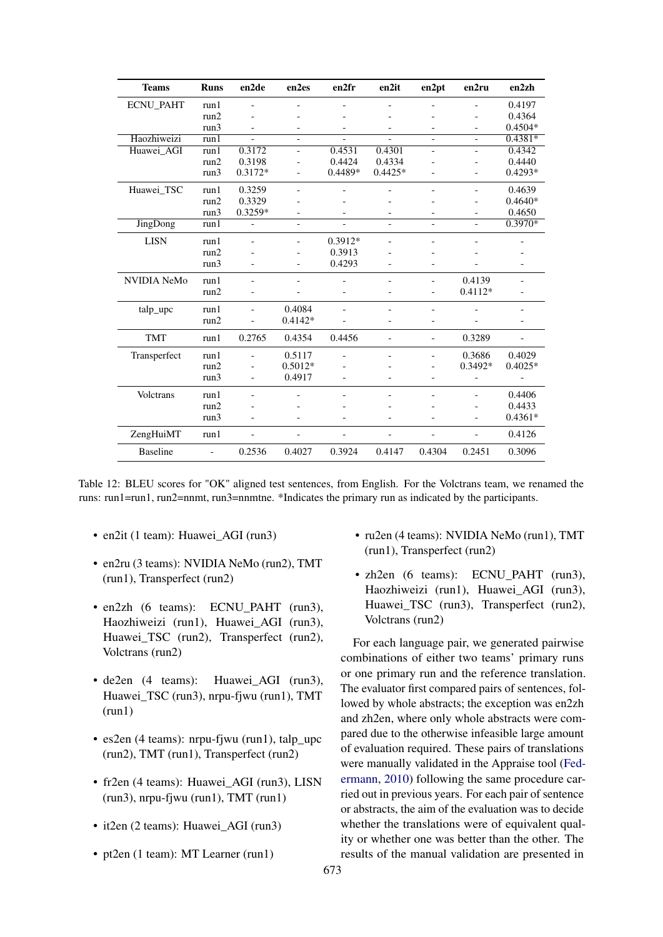<span id="page-9-0"></span>

| <b>Teams</b>       | <b>Runs</b>              | en2de                    | en2es                    | en2fr                    | en2it                    | en2pt                    | en2ru                    | en2zh                    |
|--------------------|--------------------------|--------------------------|--------------------------|--------------------------|--------------------------|--------------------------|--------------------------|--------------------------|
| <b>ECNU_PAHT</b>   | run1                     |                          |                          |                          |                          |                          |                          | 0.4197                   |
|                    | run2                     |                          |                          |                          |                          | $\overline{\phantom{0}}$ |                          | 0.4364                   |
|                    | run3                     |                          |                          |                          |                          | $\overline{\phantom{a}}$ |                          | $0.4504*$                |
| Haozhiweizi        | run1                     |                          |                          |                          |                          |                          | $\overline{a}$           | $0.4381*$                |
| Huawei_AGI         | run1                     | 0.3172                   | $\qquad \qquad -$        | 0.4531                   | 0.4301                   | $\overline{\phantom{a}}$ | $\qquad \qquad -$        | 0.4342                   |
|                    | run2                     | 0.3198                   |                          | 0.4424                   | 0.4334                   |                          |                          | 0.4440                   |
|                    | run3                     | $0.3172*$                |                          | $0.4489*$                | $0.4425*$                | $\blacksquare$           | $\overline{\phantom{a}}$ | $0.4293*$                |
| Huawei_TSC         | run1                     | 0.3259                   |                          |                          |                          | $\blacksquare$           | $\overline{\phantom{a}}$ | 0.4639                   |
|                    | run2                     | 0.3329                   |                          |                          |                          | $\equiv$                 |                          | $0.4640*$                |
|                    | run3                     | 0.3259*                  |                          |                          | ÷                        | $\overline{\phantom{a}}$ |                          | 0.4650                   |
| <b>JingDong</b>    | run1                     | $\overline{\phantom{0}}$ | $\blacksquare$           | $\overline{\phantom{a}}$ | $\overline{\phantom{a}}$ | $\overline{\phantom{a}}$ | $\overline{\phantom{a}}$ | $0.3970*$                |
| <b>LISN</b>        | run1                     | $\overline{a}$           | $\qquad \qquad -$        | $0.3912*$                |                          | $\qquad \qquad -$        |                          |                          |
|                    | run2                     |                          |                          | 0.3913                   |                          |                          |                          |                          |
|                    | run3                     |                          |                          | 0.4293                   |                          |                          |                          | $\overline{\phantom{a}}$ |
| <b>NVIDIA NeMo</b> | run1                     |                          |                          |                          |                          | $\overline{\phantom{a}}$ | 0.4139                   |                          |
|                    | run2                     |                          |                          |                          |                          | $\overline{\phantom{a}}$ | $0.4112*$                |                          |
| talp_upc           | run1                     |                          | 0.4084                   |                          |                          | $\qquad \qquad -$        |                          |                          |
|                    | run2                     |                          | $0.4142*$                |                          |                          | $\overline{\phantom{0}}$ |                          |                          |
| <b>TMT</b>         | run1                     | 0.2765                   | 0.4354                   | 0.4456                   | $\overline{a}$           | $\overline{\phantom{a}}$ | 0.3289                   | $\overline{\phantom{a}}$ |
| Transperfect       | run1                     |                          | 0.5117                   |                          | $\overline{a}$           | $\overline{\phantom{a}}$ | 0.3686                   | 0.4029                   |
|                    | run2                     |                          | $0.5012*$                |                          |                          |                          | $0.3492*$                | $0.4025*$                |
|                    | run3                     | $\overline{\phantom{a}}$ | 0.4917                   |                          | $\overline{a}$           | $\overline{\phantom{a}}$ | $\overline{a}$           |                          |
| Volctrans          | run1                     |                          |                          |                          |                          | $\overline{\phantom{0}}$ |                          | 0.4406                   |
|                    | run2                     |                          |                          |                          |                          |                          |                          | 0.4433                   |
|                    | run3                     | $\overline{\phantom{a}}$ | $\overline{\phantom{a}}$ |                          |                          | $\overline{\phantom{a}}$ |                          | $0.4361*$                |
| ZengHuiMT          | run1                     |                          |                          |                          |                          | $\overline{\phantom{0}}$ |                          | 0.4126                   |
| <b>Baseline</b>    | $\overline{\phantom{a}}$ | 0.2536                   | 0.4027                   | 0.3924                   | 0.4147                   | 0.4304                   | 0.2451                   | 0.3096                   |

Table 12: BLEU scores for "OK" aligned test sentences, from English. For the Volctrans team, we renamed the runs: run1=run1, run2=nnmt, run3=nnmtne. \*Indicates the primary run as indicated by the participants.

- en2it (1 team): Huawei AGI (run3)
- en2ru (3 teams): NVIDIA NeMo (run2), TMT  $(run1)$ , Transperfect  $(run2)$
- en2zh (6 teams): ECNU\_PAHT (run3), Haozhiweizi (run1), Huawei AGI (run3), Huawei\_TSC (run2), Transperfect (run2), Volctrans (run2)
- $\bullet$  de2en (4 teams): Huawei\_AGI (run3), Huawei\_TSC (run3), nrpu-fjwu (run1), TMT  $(run1)$
- $\bullet$  es2en (4 teams): nrpu-fiwu (run1), talp upc (run2), TMT (run1), Transperfect (run2)
- fr2en (4 teams): Huawei\_AGI (run3), LISN  $(run3)$ , nrpu-fjwu  $(run1)$ , TMT  $(run1)$
- it2en (2 teams): Huawei\_AGI (run3)
- pt2en (1 team): MT Learner (run1)
- ru2en (4 teams): NVIDIA NeMo (run1), TMT (run1), Transperfect (run2)
- zh2en (6 teams): ECNU PAHT (run3), Haozhiweizi (run1), Huawei\_AGI (run3), Huawei TSC (run3), Transperfect (run2), Volctrans (run2)

For each language pair, we generated pairwise combinations of either two teams' primary runs or one primary run and the reference translation. The evaluator first compared pairs of sentences, followed by whole abstracts; the exception was en2zh and zh2en, where only whole abstracts were compared due to the otherwise infeasible large amount of evaluation required. These pairs of translations were manually validated in the Appraise tool (Federmann, 2010) following the same procedure carried out in previous years. For each pair of sentence or abstracts, the aim of the evaluation was to decide whether the translations were of equivalent quality or whether one was better than the other. The results of the manual validation are presented in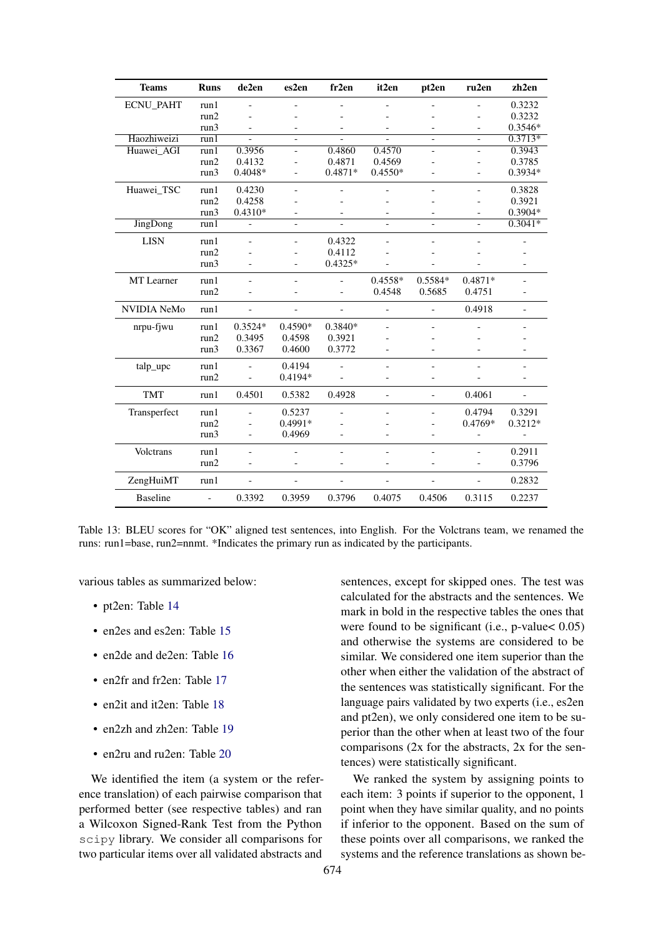<span id="page-10-0"></span>

| <b>Teams</b>       | <b>Runs</b>              | de2en          | es2en                    | fr2en                    | it2en                    | pt2en                    | ru2en                    | zh2en                    |
|--------------------|--------------------------|----------------|--------------------------|--------------------------|--------------------------|--------------------------|--------------------------|--------------------------|
| <b>ECNU PAHT</b>   | run1                     | $\overline{a}$ | $\overline{\phantom{a}}$ | $\overline{a}$           | $\overline{\phantom{a}}$ |                          |                          | 0.3232                   |
|                    | run2                     | L,             |                          |                          | ٠                        | $\overline{a}$           |                          | 0.3232                   |
|                    | run3                     | L,             | $\overline{a}$           | $\overline{\phantom{0}}$ | $\overline{\phantom{a}}$ | $\overline{a}$           |                          | $0.3546*$                |
| Haozhiweizi        | run1                     | $\overline{a}$ | $\overline{\phantom{a}}$ |                          | $\overline{\phantom{a}}$ | $\overline{a}$           | $\overline{\phantom{0}}$ | $0.3713*$                |
| Huawei_AGI         | run1                     | 0.3956         | $\overline{a}$           | 0.4860                   | 0.4570                   | $\overline{a}$           | $\overline{\phantom{0}}$ | 0.3943                   |
|                    | run2                     | 0.4132         | $\overline{a}$           | 0.4871                   | 0.4569                   |                          |                          | 0.3785                   |
|                    | run3                     | $0.4048*$      |                          | 0.4871*                  | $0.4550*$                | $\overline{a}$           |                          | $0.3934*$                |
| Huawei_TSC         | run1                     | 0.4230         | $\overline{\phantom{a}}$ |                          |                          |                          |                          | 0.3828                   |
|                    | run2                     | 0.4258         |                          |                          |                          |                          |                          | 0.3921                   |
|                    | run3                     | $0.4310*$      |                          | $\qquad \qquad -$        |                          | $\overline{\phantom{0}}$ |                          | 0.3904*                  |
| JingDong           | run1                     | L,             |                          |                          |                          |                          |                          | $0.3041*$                |
| <b>LISN</b>        | run1                     | L,             |                          | 0.4322                   |                          |                          |                          |                          |
|                    | run2                     |                |                          | 0.4112                   |                          |                          |                          |                          |
|                    | run3                     | ٠              |                          | $0.4325*$                |                          | $\overline{a}$           |                          |                          |
| <b>MT</b> Learner  | run1                     | L,             | $\overline{\phantom{a}}$ |                          | $0.4558*$                | $0.5584*$                | 0.4871*                  |                          |
|                    | run2                     | L,             |                          |                          | 0.4548                   | 0.5685                   | 0.4751                   |                          |
| <b>NVIDIA NeMo</b> | run1                     | $\overline{a}$ | $\overline{\phantom{a}}$ | $\overline{\phantom{0}}$ | $\overline{a}$           | $\overline{a}$           | 0.4918                   | $\overline{\phantom{0}}$ |
| nrpu-fjwu          | run1                     | $0.3524*$      | $0.4590*$                | 0.3840*                  |                          |                          |                          |                          |
|                    | run2                     | 0.3495         | 0.4598                   | 0.3921                   |                          |                          |                          |                          |
|                    | run3                     | 0.3367         | 0.4600                   | 0.3772                   |                          | $\overline{a}$           |                          |                          |
| talp_upc           | run1                     |                | 0.4194                   | $\overline{a}$           | $\blacksquare$           |                          |                          | $\overline{a}$           |
|                    | run2                     |                | $0.4194*$                |                          | $\overline{a}$           | $\overline{a}$           |                          |                          |
| <b>TMT</b>         | run1                     | 0.4501         | 0.5382                   | 0.4928                   | $\blacksquare$           | $\overline{a}$           | 0.4061                   | $\overline{\phantom{a}}$ |
| Transperfect       | run1                     | L,             | 0.5237                   | $\overline{\phantom{a}}$ | $\overline{\phantom{a}}$ | $\overline{\phantom{0}}$ | 0.4794                   | 0.3291                   |
|                    | run2                     |                | 0.4991*                  |                          |                          |                          | $0.4769*$                | $0.3212*$                |
|                    | run3                     | L,             | 0.4969                   | $\overline{a}$           | L,                       | $\overline{a}$           | $\overline{\phantom{0}}$ | $\blacksquare$           |
| Volctrans          | run1                     | L,             |                          | $\overline{a}$           | $\overline{\phantom{a}}$ | $\overline{a}$           |                          | 0.2911                   |
|                    | run2                     | L,             |                          |                          | $\overline{a}$           | $\overline{a}$           |                          | 0.3796                   |
| ZengHuiMT          | run1                     | $\overline{a}$ | $\overline{\phantom{a}}$ | $\frac{1}{2}$            | $\overline{a}$           | $\overline{a}$           | $\overline{a}$           | 0.2832                   |
| <b>Baseline</b>    | $\overline{\phantom{0}}$ | 0.3392         | 0.3959                   | 0.3796                   | 0.4075                   | 0.4506                   | 0.3115                   | 0.2237                   |

Table 13: BLEU scores for "OK" aligned test sentences, into English. For the Volctrans team, we renamed the runs: run1=base, run2=nnmt. \*Indicates the primary run as indicated by the participants.

various tables as summarized below:

- pt2en: Table 14
- en2es and es2en: Table 15
- en2de and de2en: Table 16
- en2fr and fr2en: Table 17
- en2it and it2en: Table 18
- en2zh and zh2en: Table 19
- en2ru and ru2en: Table 20

We identified the item (a system or the reference translation) of each pairwise comparison that performed better (see respective tables) and ran a Wilcoxon Signed-Rank Test from the Python scipy library. We consider all comparisons for two particular items over all validated abstracts and

sentences, except for skipped ones. The test was calculated for the abstracts and the sentences. We mark in bold in the respective tables the ones that were found to be significant (i.e.,  $p$ -value < 0.05) and otherwise the systems are considered to be similar. We considered one item superior than the other when either the validation of the abstract of the sentences was statistically significant. For the language pairs validated by two experts (i.e., es2en and pt2en), we only considered one item to be superior than the other when at least two of the four comparisons  $(2x$  for the abstracts,  $2x$  for the sentences) were statistically significant.

We ranked the system by assigning points to each item: 3 points if superior to the opponent, 1 point when they have similar quality, and no points if inferior to the opponent. Based on the sum of these points over all comparisons, we ranked the systems and the reference translations as shown be-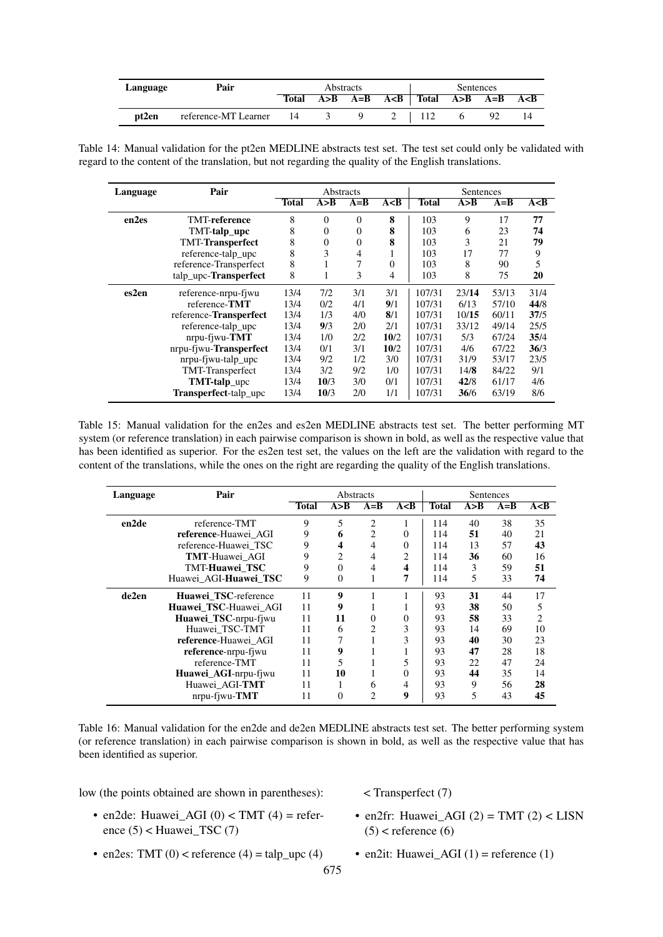<span id="page-11-0"></span>

| Language | Pair                      |              | Abstracts |         |                                                         | Sentences |    |    |
|----------|---------------------------|--------------|-----------|---------|---------------------------------------------------------|-----------|----|----|
|          |                           | <b>Total</b> |           |         | $A > B$ $A = B$ $A < B$   Total $A > B$ $A = B$ $A < B$ |           |    |    |
| pt2en    | reference-MT Learner 14 3 |              |           | 9 2 112 |                                                         |           | 92 | 14 |

Table 14: Manual validation for the pt2en MEDLINE abstracts test set. The test set could only be validated with regard to the content of the translation, but not regarding the quality of the English translations.

<span id="page-11-1"></span>

| Language | Pair                   |       | Abstracts      |                |          |              | Sentences |       |       |
|----------|------------------------|-------|----------------|----------------|----------|--------------|-----------|-------|-------|
|          |                        | Total | A > B          | $A = B$        | A < B    | <b>Total</b> | A > B     | $A=B$ | A < B |
| en2es    | <b>TMT-reference</b>   | 8     | $\theta$       | 0              | 8        | 103          | 9         | 17    | 77    |
|          | TMT-talp_upc           | 8     | $\overline{0}$ | 0              | 8        | 103          | 6         | 23    | 74    |
|          | TMT-Transperfect       | 8     | $\theta$       | $\overline{0}$ | 8        | 103          | 3         | 21    | 79    |
|          | reference-talp_upc     | 8     | 3              | 4              |          | 103          | 17        | 77    | 9     |
|          | reference-Transperfect | 8     | T              | 7              | $\theta$ | 103          | 8         | 90    | 5     |
|          | talp_upc-Transperfect  | 8     | 1              | 3              | 4        | 103          | 8         | 75    | 20    |
| es2en    | reference-nrpu-fiwu    | 13/4  | 7/2            | 3/1            | 3/1      | 107/31       | 23/14     | 53/13 | 31/4  |
|          | reference-TMT          | 13/4  | 0/2            | 4/1            | 9/1      | 107/31       | 6/13      | 57/10 | 44/8  |
|          | reference-Transperfect | 13/4  | 1/3            | 4/0            | 8/1      | 107/31       | 10/15     | 60/11 | 37/5  |
|          | reference-talp_upc     | 13/4  | 9/3            | 2/0            | 2/1      | 107/31       | 33/12     | 49/14 | 25/5  |
|          | $n$ rpu-fiwu- $TMT$    | 13/4  | 1/0            | 2/2            | 10/2     | 107/31       | 5/3       | 67/24 | 35/4  |
|          | nrpu-fjwu-Transperfect | 13/4  | 0/1            | 3/1            | 10/2     | 107/31       | 4/6       | 67/22 | 36/3  |
|          | nrpu-fjwu-talp_upc     | 13/4  | 9/2            | 1/2            | 3/0      | 107/31       | 31/9      | 53/17 | 23/5  |
|          | TMT-Transperfect       | 13/4  | 3/2            | 9/2            | 1/0      | 107/31       | 14/8      | 84/22 | 9/1   |
|          | TMT-talp_upc           | 13/4  | 10/3           | 3/0            | 0/1      | 107/31       | 42/8      | 61/17 | 4/6   |
|          | Transperfect-talp_upc  | 13/4  | 10/3           | 2/0            | 1/1      | 107/31       | 36/6      | 63/19 | 8/6   |

Table 15: Manual validation for the en2es and es2en MEDLINE abstracts test set. The better performing MT system (or reference translation) in each pairwise comparison is shown in bold, as well as the respective value that has been identified as superior. For the es2en test set, the values on the left are the validation with regard to the content of the translations, while the ones on the right are regarding the quality of the English translations.

<span id="page-11-2"></span>

| Language | Pair                  |              | Abstracts |                |          |              | <b>Sentences</b> |         |       |
|----------|-----------------------|--------------|-----------|----------------|----------|--------------|------------------|---------|-------|
|          |                       | <b>Total</b> | A > B     | $A = B$        | A < B    | <b>Total</b> | A > B            | $A = B$ | A < B |
| en2de    | reference-TMT         | 9            | 5         | $\overline{c}$ |          | 114          | 40               | 38      | 35    |
|          | reference-Huawei AGI  | 9            | 6         | 2              | $\theta$ | 114          | 51               | 40      | 21    |
|          | reference-Huawei TSC  | 9            | 4         | 4              | $\Omega$ | 114          | 13               | 57      | 43    |
|          | <b>TMT-Huawei AGI</b> | 9            | 2         | 4              | 2        | 114          | 36               | 60      | 16    |
|          | TMT-Huawei TSC        | 9            | 0         | 4              | 4        | 114          | 3                | 59      | 51    |
|          | Huawei_AGI-Huawei_TSC | 9            | $\Omega$  |                |          | 114          | 5                | 33      | 74    |
| de2en    | Huawei_TSC-reference  | 11           | 9         |                |          | 93           | 31               | 44      | 17    |
|          | Huawei TSC-Huawei AGI | 11           | 9         |                |          | 93           | 38               | 50      | 5     |
|          | Huawei_TSC-nrpu-fjwu  | 11           | 11        | $\Omega$       | 0        | 93           | 58               | 33      | 2     |
|          | Huawei TSC-TMT        | 11           | 6         | $\mathfrak{D}$ | 3        | 93           | 14               | 69      | 10    |
|          | reference-Huawei AGI  | 11           |           |                | 3        | 93           | 40               | 30      | 23    |
|          | reference-nrpu-fiwu   | 11           | 9         |                |          | 93           | 47               | 28      | 18    |
|          | reference-TMT         | 11           | 5         |                | 5        | 93           | 22               | 47      | 24    |
|          | Huawei_AGI-nrpu-fjwu  | 11           | 10        |                | $\Omega$ | 93           | 44               | 35      | 14    |
|          | Huawei_AGI-TMT        | 11           |           | 6              | 4        | 93           | 9                | 56      | 28    |
|          | $n$ rpu-fiwu- $TMT$   | 11           | $\Omega$  | $\mathfrak{D}$ | 9        | 93           | 5                | 43      | 45    |

Table 16: Manual validation for the en2de and de2en MEDLINE abstracts test set. The better performing system (or reference translation) in each pairwise comparison is shown in bold, as well as the respective value that has been identified as superior.

low (the points obtained are shown in parentheses):

< Transperfect (7)

- en2de: Huawei\_AGI  $(0)$  < TMT  $(4)$  = reference  $(5)$  < Huawei\_TSC  $(7)$
- en2fr: Huawei\_AGI  $(2)$  = TMT  $(2)$  < LISN  $(5)$  < reference  $(6)$
- en2es: TMT  $(0)$  < reference  $(4)$  = talp\_upc  $(4)$
- en2it: Huawei\_AGI  $(1)$  = reference  $(1)$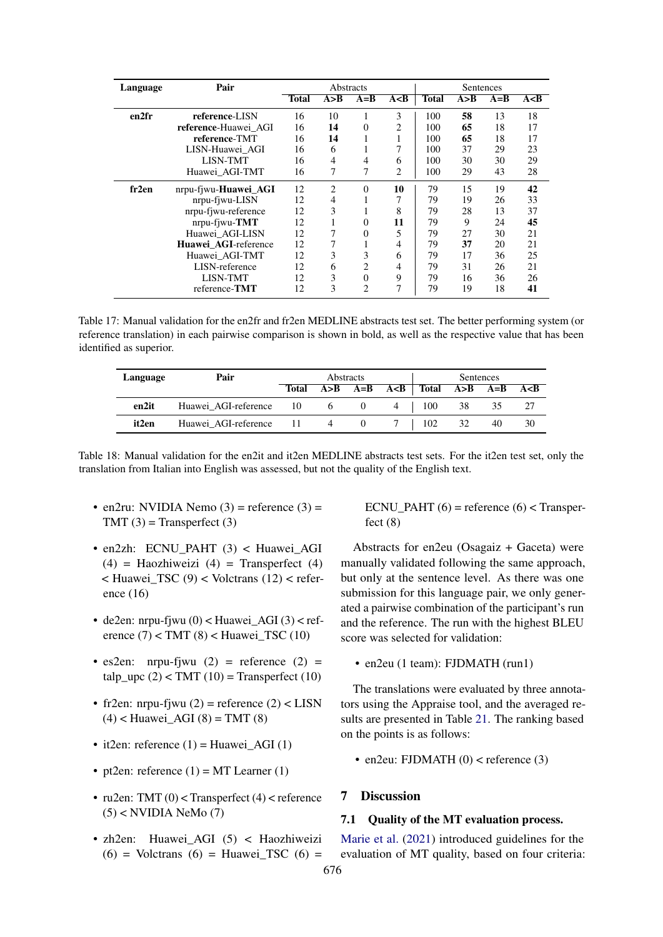<span id="page-12-0"></span>

| Language | Pair                 |       | Abstracts |                |                |              | Sentences |         |       |
|----------|----------------------|-------|-----------|----------------|----------------|--------------|-----------|---------|-------|
|          |                      | Total | A > B     | $A = B$        | A < B          | <b>Total</b> | A > B     | $A = B$ | A < B |
| en2fr    | reference-LISN       | 16    | 10        |                | 3              | 100          | 58        | 13      | 18    |
|          | reference-Huawei AGI | 16    | 14        | $\Omega$       | $\overline{c}$ | 100          | 65        | 18      | 17    |
|          | reference-TMT        | 16    | 14        |                | 1              | 100          | 65        | 18      | 17    |
|          | LISN-Huawei AGI      | 16    | 6         |                |                | 100          | 37        | 29      | 23    |
|          | <b>LISN-TMT</b>      | 16    | 4         | 4              | 6              | 100          | 30        | 30      | 29    |
|          | Huawei AGI-TMT       | 16    | 7         | 7              | 2              | 100          | 29        | 43      | 28    |
| fr2en    | nrpu-fjwu-Huawei_AGI | 12    | 2         | $\Omega$       | 10             | 79           | 15        | 19      | 42    |
|          | nrpu-fjwu-LISN       | 12    | 4         |                |                | 79           | 19        | 26      | 33    |
|          | nrpu-fjwu-reference  | 12    | 3         |                | 8              | 79           | 28        | 13      | 37    |
|          | nrpu-fjwu-TMT        | 12    |           | $\Omega$       | 11             | 79           | 9         | 24      | 45    |
|          | Huawei_AGI-LISN      | 12    | 7         | $\theta$       | 5              | 79           | 27        | 30      | 21    |
|          | Huawei_AGI-reference | 12    | 7         |                | 4              | 79           | 37        | 20      | 21    |
|          | Huawei_AGI-TMT       | 12    | 3         | 3              | 6              | 79           | 17        | 36      | 25    |
|          | LISN-reference       | 12    | 6         | $\overline{c}$ | 4              | 79           | 31        | 26      | 21    |
|          | <b>LISN-TMT</b>      | 12    | 3         | $\Omega$       | 9              | 79           | 16        | 36      | 26    |
|          | reference-TMT        | 12    | 3         | $\overline{c}$ | 7              | 79           | 19        | 18      | 41    |

Table 17: Manual validation for the en2fr and fr2en MEDLINE abstracts test set. The better performing system (or reference translation) in each pairwise comparison is shown in bold, as well as the respective value that has been identified as superior.

<span id="page-12-1"></span>

| Language | Pair                      |              |            | Abstracts | Sentences                     |    |    |    |
|----------|---------------------------|--------------|------------|-----------|-------------------------------|----|----|----|
|          |                           | <b>Total</b> | A > B      | $A=B$ $A$ | Total $A > B$ $A = B$ $A < B$ |    |    |    |
| en2it    | Huawei AGI-reference 10   |              | $6\degree$ |           | 100                           | 38 | 35 |    |
| it2en    | Huawei AGI-reference 11 4 |              |            |           | 102                           | 32 | 40 | 30 |

Table 18: Manual validation for the en2it and it2en MEDLINE abstracts test sets. For the it2en test set, only the translation from Italian into English was assessed, but not the quality of the English text.

- en2ru: NVIDIA Nemo  $(3)$  = reference  $(3)$  =  $TMT(3) = Transperfect(3)$
- en2zh: ECNU\_PAHT (3) < Huawei\_AGI  $(4)$  = Haozhiweizi  $(4)$  = Transperfect  $(4)$  $\leq$  Huawei TSC (9)  $\leq$  Volctrans (12)  $\leq$  reference (16)
- $\bullet$  de2en: nrpu-fjwu (0) < Huawei\_AGI (3) < reference  $(7)$  < TMT  $(8)$  < Huawei\_TSC  $(10)$
- es2en: nrpu-fjwu  $(2)$  = reference  $(2)$  = talp  $\text{ upc } (2) < \text{TMT } (10) = \text{Transportect } (10)$
- fr2en: nrpu-fjwu  $(2)$  = reference  $(2)$  < LISN  $(4)$  < Huawei\_AGI  $(8)$  = TMT  $(8)$
- it2en: reference  $(1)$  = Huawei AGI  $(1)$
- pt2en: reference  $(1)$  = MT Learner  $(1)$
- ru2en: TMT  $(0)$  < Transperfect  $(4)$  < reference  $(5)$  < NVIDIA NeMo  $(7)$
- zh2en: Huawei AGI (5) < Haozhiweizi  $(6)$  = Volctrans  $(6)$  = Huawei TSC  $(6)$  =

ECNU PAHT  $(6)$  = reference  $(6)$  < Transperfect  $(8)$ 

Abstracts for en2eu (Osagaiz + Gaceta) were manually validated following the same approach, but only at the sentence level. As there was one submission for this language pair, we only generated a pairwise combination of the participant's run and the reference. The run with the highest BLEU score was selected for validation:

• en2eu (1 team): FJDMATH (run1)

The translations were evaluated by three annotators using the Appraise tool, and the averaged results are presented in Table [21.](#page-14-1) The ranking based on the points is as follows:

• en2eu: FJDMATH  $(0)$  < reference  $(3)$ 

# 7 Discussion

#### 7.1 Quality of the MT evaluation process.

[Marie et al.](#page-19-13) [\(2021\)](#page-19-13) introduced guidelines for the evaluation of MT quality, based on four criteria: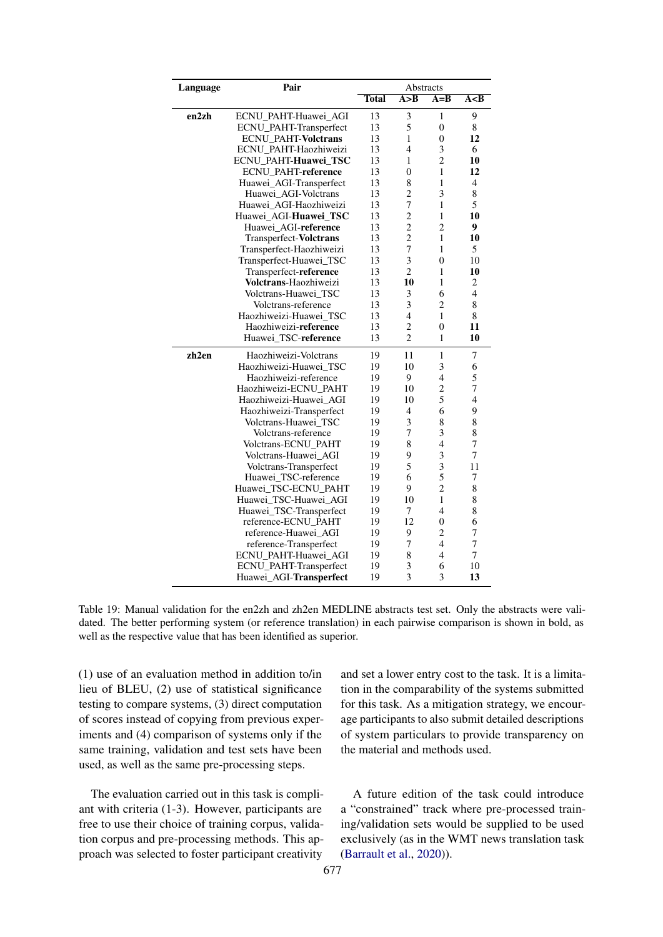<span id="page-13-0"></span>

| Language | Pair                          |              | Abstracts      |                |                |
|----------|-------------------------------|--------------|----------------|----------------|----------------|
|          |                               | <b>Total</b> | A > B          | $A=B$          | A < B          |
| en2zh    | ECNU_PAHT-Huawei_AGI          | 13           | 3              | 1              | 9              |
|          | ECNU_PAHT-Transperfect        | 13           | 5              | $\mathbf{0}$   | 8              |
|          | ECNU_PAHT-Volctrans           | 13           | 1              | $\overline{0}$ | 12             |
|          | ECNU PAHT-Haozhiweizi         | 13           | $\overline{4}$ | 3              | 6              |
|          | ECNU_PAHT-Huawei_TSC          | 13           | 1              | $\overline{c}$ | 10             |
|          | <b>ECNU_PAHT-reference</b>    | 13           | $\overline{0}$ | 1              | 12             |
|          | Huawei_AGI-Transperfect       | 13           | 8              | 1              | 4              |
|          | Huawei AGI-Volctrans          | 13           | $\overline{c}$ | 3              | 8              |
|          | Huawei_AGI-Haozhiweizi        | 13           | $\overline{7}$ | $\mathbf{1}$   | 5              |
|          | Huawei AGI-Huawei TSC         | 13           | $\overline{c}$ | 1              | 10             |
|          | Huawei AGI-reference          | 13           | $\overline{c}$ | $\overline{2}$ | 9              |
|          | Transperfect-Volctrans        | 13           | $\overline{c}$ | 1              | 10             |
|          | Transperfect-Haozhiweizi      | 13           | $\overline{7}$ | 1              | 5              |
|          | Transperfect-Huawei_TSC       | 13           | 3              | $\overline{0}$ | 10             |
|          | Transperfect-reference        | 13           | $\overline{2}$ | 1              | 10             |
|          | Volctrans-Haozhiweizi         | 13           | 10             | 1              | 2              |
|          | Volctrans-Huawei_TSC          | 13           | 3              | 6              | 4              |
|          | Volctrans-reference           | 13           | 3              | $\overline{2}$ | 8              |
|          | Haozhiweizi-Huawei TSC        | 13           | $\overline{4}$ | 1              | 8              |
|          | Haozhiweizi-reference         | 13           | $\overline{c}$ | $\theta$       | 11             |
|          | Huawei TSC-reference          | 13           | $\overline{2}$ | 1              | 10             |
| zh2en    | Haozhiweizi-Volctrans         | 19           | 11             | $\mathbf{1}$   | 7              |
|          | Haozhiweizi-Huawei TSC        | 19           | 10             | 3              | 6              |
|          | Haozhiweizi-reference         | 19           | 9              | 4              | 5              |
|          | Haozhiweizi-ECNU PAHT         | 19           | 10             | $\overline{c}$ | $\overline{7}$ |
|          | Haozhiweizi-Huawei AGI        | 19           | 10             | 5              | 4              |
|          | Haozhiweizi-Transperfect      | 19           | $\overline{4}$ | 6              | 9              |
|          | Volctrans-Huawei_TSC          | 19           | 3              | 8              | 8              |
|          | Volctrans-reference           | 19           | 7              | 3              | 8              |
|          | Volctrans-ECNU PAHT           | 19           | 8              | $\overline{4}$ | $\overline{7}$ |
|          | Volctrans-Huawei AGI          | 19           | 9              | 3              | $\overline{7}$ |
|          | Volctrans-Transperfect        | 19           | 5              | 3              | 11             |
|          | Huawei_TSC-reference          | 19           | 6              | 5              | 7              |
|          | Huawei TSC-ECNU PAHT          | 19           | 9              | $\overline{2}$ | 8              |
|          | Huawei_TSC-Huawei_AGI         | 19           | 10             | $\mathbf{1}$   | 8              |
|          | Huawei_TSC-Transperfect       | 19           | 7              | 4              | 8              |
|          | reference-ECNU PAHT           | 19           | 12             | $\overline{0}$ | 6              |
|          | reference-Huawei AGI          | 19           | 9              | $\overline{c}$ | 7              |
|          | reference-Transperfect        | 19           | $\overline{7}$ | $\overline{4}$ | $\overline{7}$ |
|          | ECNU_PAHT-Huawei_AGI          | 19           | 8              | 4              | 7              |
|          | <b>ECNU_PAHT-Transperfect</b> | 19           | 3              | 6              | 10             |
|          | Huawei_AGI-Transperfect       | 19           | 3              | 3              | 13             |

Table 19: Manual validation for the en2zh and zh2en MEDLINE abstracts test set. Only the abstracts were validated. The better performing system (or reference translation) in each pairwise comparison is shown in bold, as well as the respective value that has been identified as superior.

(1) use of an evaluation method in addition to/in lieu of BLEU, (2) use of statistical significance testing to compare systems, (3) direct computation of scores instead of copying from previous experiments and (4) comparison of systems only if the same training, validation and test sets have been used, as well as the same pre-processing steps.

The evaluation carried out in this task is compliant with criteria (1-3). However, participants are free to use their choice of training corpus, validation corpus and pre-processing methods. This approach was selected to foster participant creativity

and set a lower entry cost to the task. It is a limitation in the comparability of the systems submitted for this task. As a mitigation strategy, we encourage participants to also submit detailed descriptions of system particulars to provide transparency on the material and methods used.

A future edition of the task could introduce a "constrained" track where pre-processed training/validation sets would be supplied to be used exclusively (as in the WMT news translation task [\(Barrault et al.,](#page-18-8) [2020\)](#page-18-8)).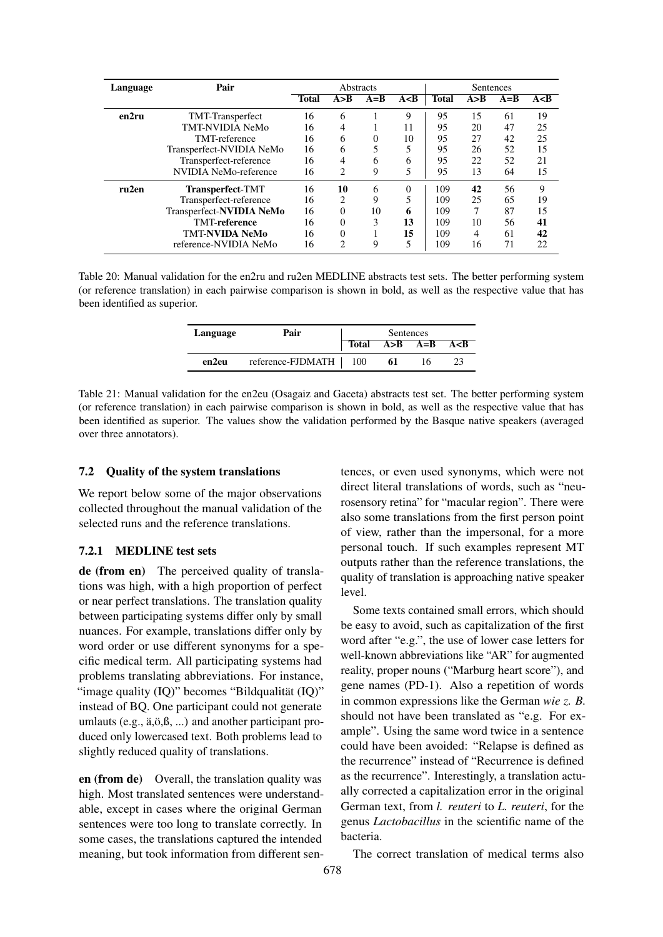<span id="page-14-0"></span>

| Language | Pair                     |              | Abstracts |        |       |              | Sentences |         |       |
|----------|--------------------------|--------------|-----------|--------|-------|--------------|-----------|---------|-------|
|          |                          | <b>Total</b> | A > B     | $A=$ B | A < B | <b>Total</b> | A > B     | $A = B$ | A < B |
| en2ru    | <b>TMT-Transperfect</b>  | 16           | 6         |        | 9     | 95           | 15        | 61      | 19    |
|          | TMT-NVIDIA NeMo          | 16           | 4         |        | 11    | 95           | 20        | 47      | 25    |
|          | TMT-reference            | 16           | 6         | 0      | 10    | 95           | 27        | 42      | 25    |
|          | Transperfect-NVIDIA NeMo | 16           | 6         |        | 5     | 95           | 26        | 52      | 15    |
|          | Transperfect-reference   | 16           | 4         | 6      | 6     | 95           | 22        | 52      | 21    |
|          | NVIDIA NeMo-reference    | 16           | 2         | 9      | 5     | 95           | 13        | 64      | 15    |
| ru2en    | <b>Transperfect-TMT</b>  | 16           | 10        | 6      | 0     | 109          | 42        | 56      | 9     |
|          | Transperfect-reference   | 16           | 2         | 9      |       | 109          | 25        | 65      | 19    |
|          | Transperfect-NVIDIA NeMo | 16           | $\Omega$  | 10     | 6     | 109          | 7         | 87      | 15    |
|          | <b>TMT-reference</b>     | 16           | 0         | 3      | 13    | 109          | 10        | 56      | 41    |
|          | <b>TMT-NVIDA NeMo</b>    | 16           | $\Omega$  |        | 15    | 109          | 4         | 61      | 42    |
|          | reference-NVIDIA NeMo    | 16           | C         | 9      | 5     | 109          | 16        | 71      | 22    |

<span id="page-14-1"></span>Table 20: Manual validation for the en2ru and ru2en MEDLINE abstracts test sets. The better performing system (or reference translation) in each pairwise comparison is shown in bold, as well as the respective value that has been identified as superior.

| Language | Pair                    | Sentences |                 |  |       |  |  |
|----------|-------------------------|-----------|-----------------|--|-------|--|--|
|          |                         | Total     | $A > B$ $A = B$ |  | A < B |  |  |
| en2eu    | reference-FJDMATH   100 |           | 61              |  |       |  |  |

Table 21: Manual validation for the en2eu (Osagaiz and Gaceta) abstracts test set. The better performing system (or reference translation) in each pairwise comparison is shown in bold, as well as the respective value that has been identified as superior. The values show the validation performed by the Basque native speakers (averaged over three annotators).

### 7.2 Quality of the system translations

We report below some of the major observations collected throughout the manual validation of the selected runs and the reference translations.

### 7.2.1 MEDLINE test sets

de (from en) The perceived quality of translations was high, with a high proportion of perfect or near perfect translations. The translation quality between participating systems differ only by small nuances. For example, translations differ only by word order or use different synonyms for a specific medical term. All participating systems had problems translating abbreviations. For instance, "image quality (IQ)" becomes "Bildqualität (IQ)" instead of BQ. One participant could not generate umlauts (e.g., ä,ö,ß, ...) and another participant produced only lowercased text. Both problems lead to slightly reduced quality of translations.

en (from de) Overall, the translation quality was high. Most translated sentences were understandable, except in cases where the original German sentences were too long to translate correctly. In some cases, the translations captured the intended meaning, but took information from different sentences, or even used synonyms, which were not direct literal translations of words, such as "neurosensory retina" for "macular region". There were also some translations from the first person point of view, rather than the impersonal, for a more personal touch. If such examples represent MT outputs rather than the reference translations, the quality of translation is approaching native speaker level.

Some texts contained small errors, which should be easy to avoid, such as capitalization of the first word after "e.g.", the use of lower case letters for well-known abbreviations like "AR" for augmented reality, proper nouns ("Marburg heart score"), and gene names (PD-1). Also a repetition of words in common expressions like the German *wie z. B.* should not have been translated as "e.g. For example". Using the same word twice in a sentence could have been avoided: "Relapse is defined as the recurrence" instead of "Recurrence is defined as the recurrence". Interestingly, a translation actually corrected a capitalization error in the original German text, from *l. reuteri* to *L. reuteri*, for the genus *Lactobacillus* in the scientific name of the bacteria.

The correct translation of medical terms also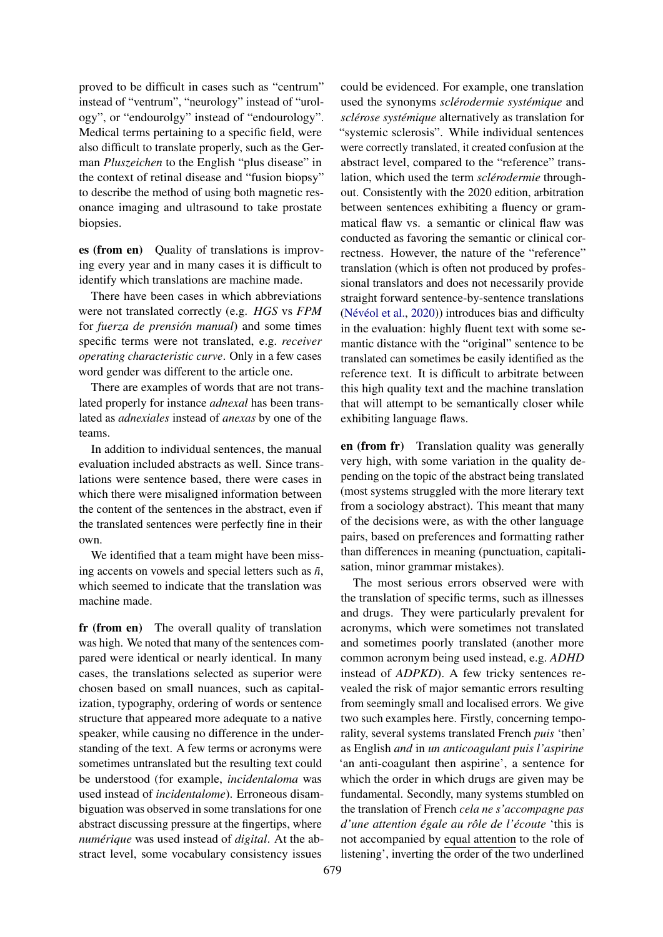proved to be difficult in cases such as "centrum" instead of "ventrum", "neurology" instead of "urology", or "endourolgy" instead of "endourology". Medical terms pertaining to a specific field, were also difficult to translate properly, such as the German *Pluszeichen* to the English "plus disease" in the context of retinal disease and "fusion biopsy" to describe the method of using both magnetic resonance imaging and ultrasound to take prostate biopsies.

es (from en) Quality of translations is improving every year and in many cases it is difficult to identify which translations are machine made.

There have been cases in which abbreviations were not translated correctly (e.g. *HGS* vs *FPM* for *fuerza de prensión manual*) and some times specific terms were not translated, e.g. *receiver operating characteristic curve*. Only in a few cases word gender was different to the article one.

There are examples of words that are not translated properly for instance *adnexal* has been translated as *adnexiales* instead of *anexas* by one of the teams.

In addition to individual sentences, the manual evaluation included abstracts as well. Since translations were sentence based, there were cases in which there were misaligned information between the content of the sentences in the abstract, even if the translated sentences were perfectly fine in their own.

We identified that a team might have been missing accents on vowels and special letters such as *ñ*, which seemed to indicate that the translation was machine made.

fr (from en) The overall quality of translation was high. We noted that many of the sentences compared were identical or nearly identical. In many cases, the translations selected as superior were chosen based on small nuances, such as capitalization, typography, ordering of words or sentence structure that appeared more adequate to a native speaker, while causing no difference in the understanding of the text. A few terms or acronyms were sometimes untranslated but the resulting text could be understood (for example, *incidentaloma* was used instead of *incidentalome*). Erroneous disambiguation was observed in some translations for one abstract discussing pressure at the fingertips, where *numérique* was used instead of *digital*. At the abstract level, some vocabulary consistency issues

could be evidenced. For example, one translation used the synonyms *sclérodermie systémique* and *sclérose systémique* alternatively as translation for "systemic sclerosis". While individual sentences were correctly translated, it created confusion at the abstract level, compared to the "reference" translation, which used the term *sclérodermie* throughout. Consistently with the 2020 edition, arbitration between sentences exhibiting a fluency or grammatical flaw vs. a semantic or clinical flaw was conducted as favoring the semantic or clinical correctness. However, the nature of the "reference" translation (which is often not produced by professional translators and does not necessarily provide straight forward sentence-by-sentence translations [\(Névéol et al.,](#page-19-14) [2020\)](#page-19-14)) introduces bias and difficulty in the evaluation: highly fluent text with some semantic distance with the "original" sentence to be translated can sometimes be easily identified as the reference text. It is difficult to arbitrate between this high quality text and the machine translation that will attempt to be semantically closer while exhibiting language flaws.

en (from fr) Translation quality was generally very high, with some variation in the quality depending on the topic of the abstract being translated (most systems struggled with the more literary text from a sociology abstract). This meant that many of the decisions were, as with the other language pairs, based on preferences and formatting rather than differences in meaning (punctuation, capitalisation, minor grammar mistakes).

The most serious errors observed were with the translation of specific terms, such as illnesses and drugs. They were particularly prevalent for acronyms, which were sometimes not translated and sometimes poorly translated (another more common acronym being used instead, e.g. *ADHD* instead of *ADPKD*). A few tricky sentences revealed the risk of major semantic errors resulting from seemingly small and localised errors. We give two such examples here. Firstly, concerning temporality, several systems translated French *puis* 'then' as English *and* in *un anticoagulant puis l'aspirine* 'an anti-coagulant then aspirine', a sentence for which the order in which drugs are given may be fundamental. Secondly, many systems stumbled on the translation of French *cela ne s'accompagne pas d'une attention égale au rôle de l'écoute* 'this is not accompanied by equal attention to the role of listening', inverting the order of the two underlined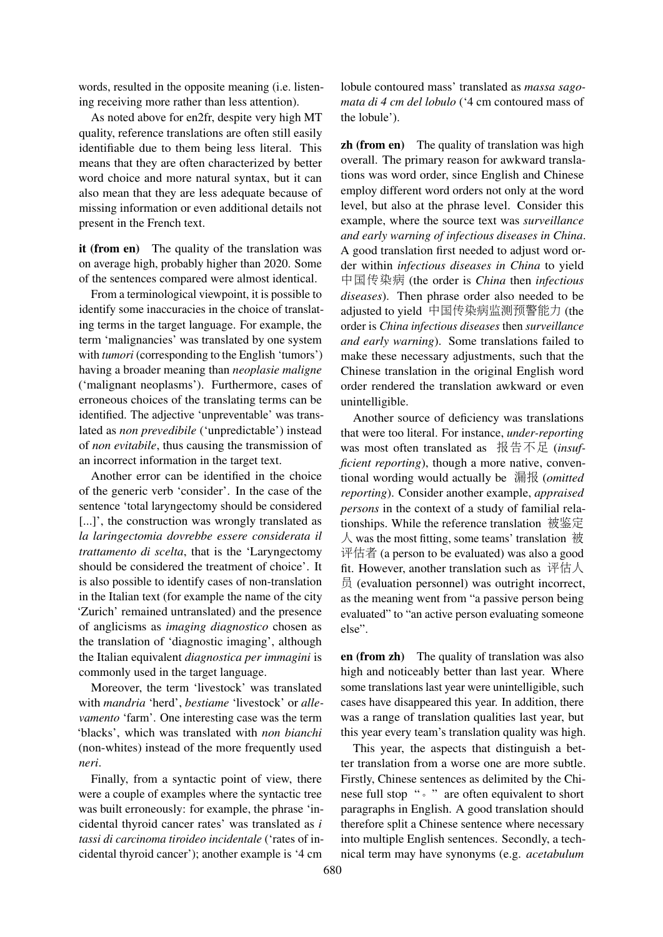words, resulted in the opposite meaning (i.e. listening receiving more rather than less attention).

As noted above for en2fr, despite very high MT quality, reference translations are often still easily identifiable due to them being less literal. This means that they are often characterized by better word choice and more natural syntax, but it can also mean that they are less adequate because of missing information or even additional details not present in the French text.

it (from en) The quality of the translation was on average high, probably higher than 2020. Some of the sentences compared were almost identical.

From a terminological viewpoint, it is possible to identify some inaccuracies in the choice of translating terms in the target language. For example, the term 'malignancies' was translated by one system with *tumori* (corresponding to the English 'tumors') having a broader meaning than *neoplasie maligne* ('malignant neoplasms'). Furthermore, cases of erroneous choices of the translating terms can be identified. The adjective 'unpreventable' was translated as *non prevedibile* ('unpredictable') instead of *non evitabile*, thus causing the transmission of an incorrect information in the target text.

Another error can be identified in the choice of the generic verb 'consider'. In the case of the sentence 'total laryngectomy should be considered [...]', the construction was wrongly translated as *la laringectomia dovrebbe essere considerata il trattamento di scelta*, that is the 'Laryngectomy should be considered the treatment of choice'. It is also possible to identify cases of non-translation in the Italian text (for example the name of the city 'Zurich' remained untranslated) and the presence of anglicisms as *imaging diagnostico* chosen as the translation of 'diagnostic imaging', although the Italian equivalent *diagnostica per immagini* is commonly used in the target language.

Moreover, the term 'livestock' was translated with *mandria* 'herd', *bestiame* 'livestock' or *allevamento* 'farm'. One interesting case was the term 'blacks', which was translated with *non bianchi* (non-whites) instead of the more frequently used *neri*.

Finally, from a syntactic point of view, there were a couple of examples where the syntactic tree was built erroneously: for example, the phrase 'incidental thyroid cancer rates' was translated as *i tassi di carcinoma tiroideo incidentale* ('rates of incidental thyroid cancer'); another example is '4 cm

lobule contoured mass' translated as *massa sagomata di 4 cm del lobulo* ('4 cm contoured mass of the lobule').

**zh** (from en) The quality of translation was high overall. The primary reason for awkward translations was word order, since English and Chinese employ different word orders not only at the word level, but also at the phrase level. Consider this example, where the source text was *surveillance and early warning of infectious diseases in China*. A good translation first needed to adjust word order within *infectious diseases in China* to yield <sup>中</sup>国传染病 (the order is *China* then *infectious diseases*). Then phrase order also needed to be adjusted to yield <sup>中</sup>国传染病监测预警能<sup>力</sup> (the order is *China infectious diseases* then *surveillance and early warning*). Some translations failed to make these necessary adjustments, such that the Chinese translation in the original English word order rendered the translation awkward or even unintelligible.

Another source of deficiency was translations that were too literal. For instance, *under-reporting* was most often translated as 报告不<sup>足</sup> (*insufficient reporting*), though a more native, conventional wording would actually be <sup>漏</sup>报 (*omitted reporting*). Consider another example, *appraised persons* in the context of a study of familial relationships. While the reference translation 被鉴定  $\lambda$  was the most fitting, some teams' translation  $\mathcal{H}$ 评估者 (a person to be evaluated) was also a good fit. However, another translation such as 评估人 员 (evaluation personnel) was outright incorrect, as the meaning went from "a passive person being evaluated" to "an active person evaluating someone else".

en (from zh) The quality of translation was also high and noticeably better than last year. Where some translations last year were unintelligible, such cases have disappeared this year. In addition, there was a range of translation qualities last year, but this year every team's translation quality was high.

This year, the aspects that distinguish a better translation from a worse one are more subtle. Firstly, Chinese sentences as delimited by the Chinese full stop "。" are often equivalent to short paragraphs in English. A good translation should therefore split a Chinese sentence where necessary into multiple English sentences. Secondly, a technical term may have synonyms (e.g. *acetabulum*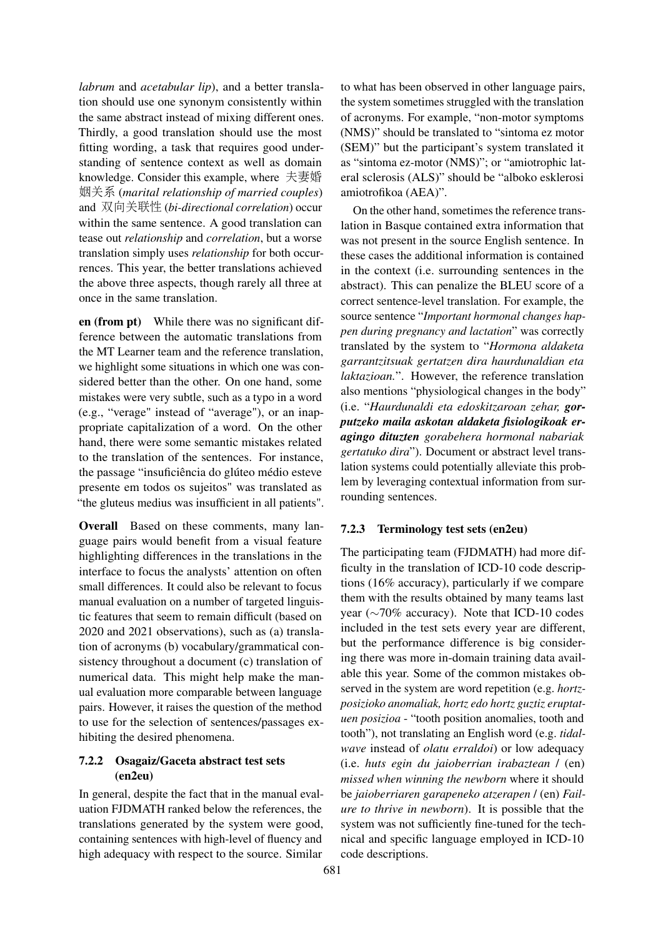*labrum* and *acetabular lip*), and a better translation should use one synonym consistently within the same abstract instead of mixing different ones. Thirdly, a good translation should use the most fitting wording, a task that requires good understanding of sentence context as well as domain knowledge. Consider this example, where 夫妻<sup>婚</sup> 姻关<sup>系</sup> (*marital relationship of married couples*) and 双向关联性 (*bi-directional correlation*) occur within the same sentence. A good translation can tease out *relationship* and *correlation*, but a worse translation simply uses *relationship* for both occurrences. This year, the better translations achieved the above three aspects, though rarely all three at once in the same translation.

en (from pt) While there was no significant difference between the automatic translations from the MT Learner team and the reference translation, we highlight some situations in which one was considered better than the other. On one hand, some mistakes were very subtle, such as a typo in a word (e.g., "verage" instead of "average"), or an inappropriate capitalization of a word. On the other hand, there were some semantic mistakes related to the translation of the sentences. For instance, the passage "insuficiência do glúteo médio esteve presente em todos os sujeitos" was translated as "the gluteus medius was insufficient in all patients".

Overall Based on these comments, many language pairs would benefit from a visual feature highlighting differences in the translations in the interface to focus the analysts' attention on often small differences. It could also be relevant to focus manual evaluation on a number of targeted linguistic features that seem to remain difficult (based on 2020 and 2021 observations), such as (a) translation of acronyms (b) vocabulary/grammatical consistency throughout a document (c) translation of numerical data. This might help make the manual evaluation more comparable between language pairs. However, it raises the question of the method to use for the selection of sentences/passages exhibiting the desired phenomena.

# 7.2.2 Osagaiz/Gaceta abstract test sets (en2eu)

In general, despite the fact that in the manual evaluation FJDMATH ranked below the references, the translations generated by the system were good, containing sentences with high-level of fluency and high adequacy with respect to the source. Similar

to what has been observed in other language pairs, the system sometimes struggled with the translation of acronyms. For example, "non-motor symptoms (NMS)" should be translated to "sintoma ez motor (SEM)" but the participant's system translated it as "sintoma ez-motor (NMS)"; or "amiotrophic lateral sclerosis (ALS)" should be "alboko esklerosi amiotrofikoa (AEA)".

On the other hand, sometimes the reference translation in Basque contained extra information that was not present in the source English sentence. In these cases the additional information is contained in the context (i.e. surrounding sentences in the abstract). This can penalize the BLEU score of a correct sentence-level translation. For example, the source sentence "*Important hormonal changes happen during pregnancy and lactation*" was correctly translated by the system to "*Hormona aldaketa garrantzitsuak gertatzen dira haurdunaldian eta laktazioan.*". However, the reference translation also mentions "physiological changes in the body" (i.e. "*Haurdunaldi eta edoskitzaroan zehar, gorputzeko maila askotan aldaketa fisiologikoak eragingo dituzten gorabehera hormonal nabariak gertatuko dira*"). Document or abstract level translation systems could potentially alleviate this problem by leveraging contextual information from surrounding sentences.

#### 7.2.3 Terminology test sets (en2eu)

The participating team (FJDMATH) had more difficulty in the translation of ICD-10 code descriptions (16% accuracy), particularly if we compare them with the results obtained by many teams last year (∼70% accuracy). Note that ICD-10 codes included in the test sets every year are different, but the performance difference is big considering there was more in-domain training data available this year. Some of the common mistakes observed in the system are word repetition (e.g. *hortzposizioko anomaliak, hortz edo hortz guztiz eruptatuen posizioa* - "tooth position anomalies, tooth and tooth"), not translating an English word (e.g. *tidalwave* instead of *olatu erraldoi*) or low adequacy (i.e. *huts egin du jaioberrian irabaztean* / (en) *missed when winning the newborn* where it should be *jaioberriaren garapeneko atzerapen* / (en) *Failure to thrive in newborn*). It is possible that the system was not sufficiently fine-tuned for the technical and specific language employed in ICD-10 code descriptions.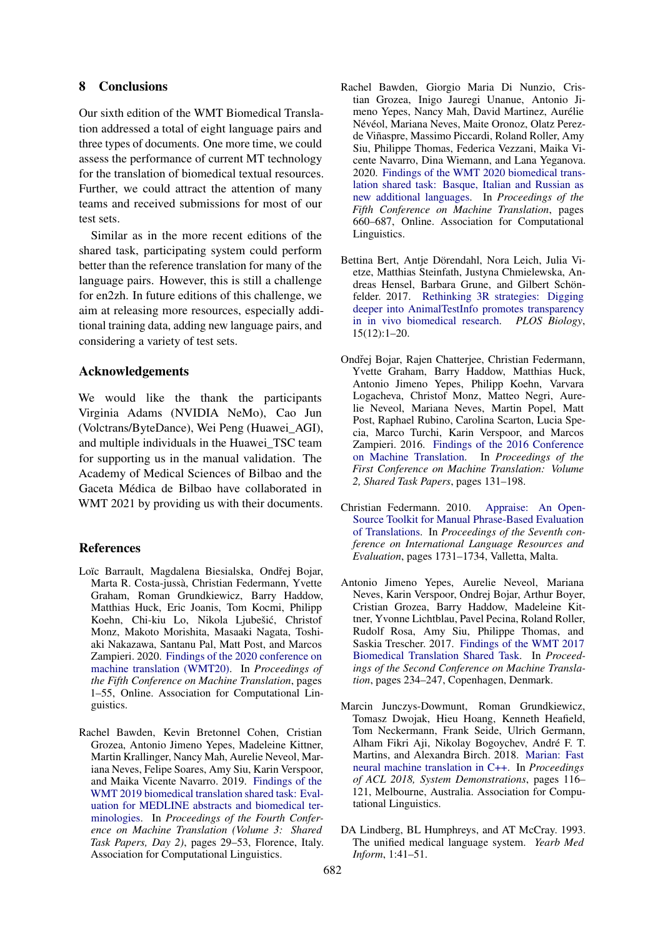# 8 Conclusions

Our sixth edition of the WMT Biomedical Translation addressed a total of eight language pairs and three types of documents. One more time, we could assess the performance of current MT technology for the translation of biomedical textual resources. Further, we could attract the attention of many teams and received submissions for most of our test sets.

Similar as in the more recent editions of the shared task, participating system could perform better than the reference translation for many of the language pairs. However, this is still a challenge for en2zh. In future editions of this challenge, we aim at releasing more resources, especially additional training data, adding new language pairs, and considering a variety of test sets.

#### Acknowledgements

We would like the thank the participants Virginia Adams (NVIDIA NeMo), Cao Jun (Volctrans/ByteDance), Wei Peng (Huawei\_AGI), and multiple individuals in the Huawei\_TSC team for supporting us in the manual validation. The Academy of Medical Sciences of Bilbao and the Gaceta Médica de Bilbao have collaborated in WMT 2021 by providing us with their documents.

#### References

- <span id="page-18-8"></span>Loïc Barrault, Magdalena Biesialska, Ondřej Bojar, Marta R. Costa-jussà, Christian Federmann, Yvette Graham, Roman Grundkiewicz, Barry Haddow, Matthias Huck, Eric Joanis, Tom Kocmi, Philipp Koehn, Chi-kiu Lo, Nikola Ljubešic, Christof ´ Monz, Makoto Morishita, Masaaki Nagata, Toshiaki Nakazawa, Santanu Pal, Matt Post, and Marcos Zampieri. 2020. [Findings of the 2020 conference on](https://aclanthology.org/2020.wmt-1.1) [machine translation \(WMT20\).](https://aclanthology.org/2020.wmt-1.1) In *Proceedings of the Fifth Conference on Machine Translation*, pages 1–55, Online. Association for Computational Linguistics.
- <span id="page-18-3"></span>Rachel Bawden, Kevin Bretonnel Cohen, Cristian Grozea, Antonio Jimeno Yepes, Madeleine Kittner, Martin Krallinger, Nancy Mah, Aurelie Neveol, Mariana Neves, Felipe Soares, Amy Siu, Karin Verspoor, and Maika Vicente Navarro. 2019. [Findings of the](https://doi.org/10.18653/v1/W19-5403) [WMT 2019 biomedical translation shared task: Eval](https://doi.org/10.18653/v1/W19-5403)[uation for MEDLINE abstracts and biomedical ter](https://doi.org/10.18653/v1/W19-5403)[minologies.](https://doi.org/10.18653/v1/W19-5403) In *Proceedings of the Fourth Conference on Machine Translation (Volume 3: Shared Task Papers, Day 2)*, pages 29–53, Florence, Italy. Association for Computational Linguistics.
- <span id="page-18-4"></span>Rachel Bawden, Giorgio Maria Di Nunzio, Cristian Grozea, Inigo Jauregi Unanue, Antonio Jimeno Yepes, Nancy Mah, David Martinez, Aurélie Névéol, Mariana Neves, Maite Oronoz, Olatz Perezde Viñaspre, Massimo Piccardi, Roland Roller, Amy Siu, Philippe Thomas, Federica Vezzani, Maika Vicente Navarro, Dina Wiemann, and Lana Yeganova. 2020. [Findings of the WMT 2020 biomedical trans](https://aclanthology.org/2020.wmt-1.76)[lation shared task: Basque, Italian and Russian as](https://aclanthology.org/2020.wmt-1.76) [new additional languages.](https://aclanthology.org/2020.wmt-1.76) In *Proceedings of the Fifth Conference on Machine Translation*, pages 660–687, Online. Association for Computational Linguistics.
- <span id="page-18-6"></span>Bettina Bert, Antje Dörendahl, Nora Leich, Julia Vietze, Matthias Steinfath, Justyna Chmielewska, Andreas Hensel, Barbara Grune, and Gilbert Schönfelder. 2017. [Rethinking 3R strategies: Digging](https://doi.org/10.1371/journal.pbio.2003217) [deeper into AnimalTestInfo promotes transparency](https://doi.org/10.1371/journal.pbio.2003217) [in in vivo biomedical research.](https://doi.org/10.1371/journal.pbio.2003217) *PLOS Biology*, 15(12):1–20.
- <span id="page-18-1"></span>Ondřej Bojar, Rajen Chatterjee, Christian Federmann, Yvette Graham, Barry Haddow, Matthias Huck, Antonio Jimeno Yepes, Philipp Koehn, Varvara Logacheva, Christof Monz, Matteo Negri, Aurelie Neveol, Mariana Neves, Martin Popel, Matt Post, Raphael Rubino, Carolina Scarton, Lucia Specia, Marco Turchi, Karin Verspoor, and Marcos Zampieri. 2016. [Findings of the 2016 Conference](https://doi.org/10.18653/v1/W16-2301) [on Machine Translation.](https://doi.org/10.18653/v1/W16-2301) In *Proceedings of the First Conference on Machine Translation: Volume 2, Shared Task Papers*, pages 131–198.
- <span id="page-18-5"></span>Christian Federmann. 2010. [Appraise: An Open-](http://www.lrec-conf.org/proceedings/lrec2010/pdf/197_Paper.pdf)[Source Toolkit for Manual Phrase-Based Evaluation](http://www.lrec-conf.org/proceedings/lrec2010/pdf/197_Paper.pdf) [of Translations.](http://www.lrec-conf.org/proceedings/lrec2010/pdf/197_Paper.pdf) In *Proceedings of the Seventh conference on International Language Resources and Evaluation*, pages 1731–1734, Valletta, Malta.
- <span id="page-18-2"></span>Antonio Jimeno Yepes, Aurelie Neveol, Mariana Neves, Karin Verspoor, Ondrej Bojar, Arthur Boyer, Cristian Grozea, Barry Haddow, Madeleine Kittner, Yvonne Lichtblau, Pavel Pecina, Roland Roller, Rudolf Rosa, Amy Siu, Philippe Thomas, and Saskia Trescher. 2017. [Findings of the WMT 2017](https://doi.org/10.18653/v1/W17-4719) [Biomedical Translation Shared Task.](https://doi.org/10.18653/v1/W17-4719) In *Proceedings of the Second Conference on Machine Translation*, pages 234–247, Copenhagen, Denmark.
- <span id="page-18-7"></span>Marcin Junczys-Dowmunt, Roman Grundkiewicz, Tomasz Dwojak, Hieu Hoang, Kenneth Heafield, Tom Neckermann, Frank Seide, Ulrich Germann, Alham Fikri Aji, Nikolay Bogoychev, André F. T. Martins, and Alexandra Birch. 2018. [Marian: Fast](https://doi.org/10.18653/v1/P18-4020) [neural machine translation in C++.](https://doi.org/10.18653/v1/P18-4020) In *Proceedings of ACL 2018, System Demonstrations*, pages 116– 121, Melbourne, Australia. Association for Computational Linguistics.
- <span id="page-18-0"></span>DA Lindberg, BL Humphreys, and AT McCray. 1993. The unified medical language system. *Yearb Med Inform*, 1:41–51.